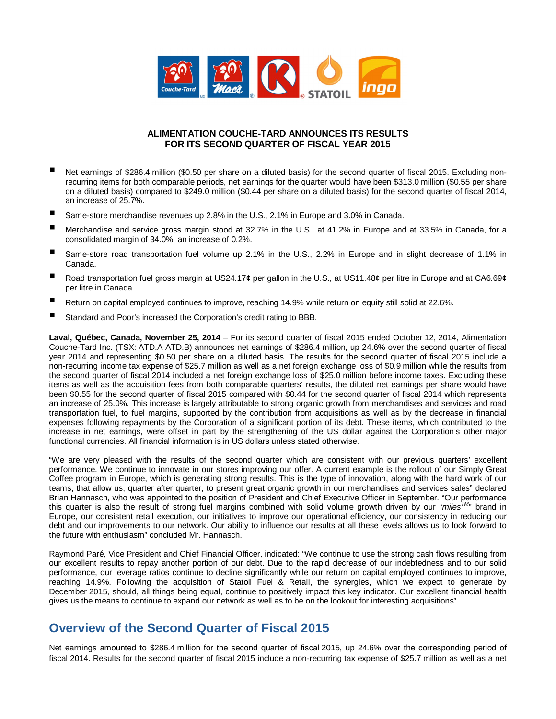

### **ALIMENTATION COUCHE-TARD ANNOUNCES ITS RESULTS FOR ITS SECOND QUARTER OF FISCAL YEAR 2015**

- Net earnings of \$286.4 million (\$0.50 per share on a diluted basis) for the second quarter of fiscal 2015. Excluding nonrecurring items for both comparable periods, net earnings for the quarter would have been \$313.0 million (\$0.55 per share on a diluted basis) compared to \$249.0 million (\$0.44 per share on a diluted basis) for the second quarter of fiscal 2014, an increase of 25.7%.
- Same-store merchandise revenues up 2.8% in the U.S., 2.1% in Europe and 3.0% in Canada.
- Merchandise and service gross margin stood at 32.7% in the U.S., at 41.2% in Europe and at 33.5% in Canada, for a consolidated margin of 34.0%, an increase of 0.2%.
- Same-store road transportation fuel volume up 2.1% in the U.S., 2.2% in Europe and in slight decrease of 1.1% in Canada.
- Road transportation fuel gross margin at US24.17¢ per gallon in the U.S., at US11.48¢ per litre in Europe and at CA6.69¢ per litre in Canada.
- Return on capital employed continues to improve, reaching 14.9% while return on equity still solid at 22.6%.
- Standard and Poor's increased the Corporation's credit rating to BBB.

**Laval, Québec, Canada, November 25, 2014** – For its second quarter of fiscal 2015 ended October 12, 2014, Alimentation Couche-Tard Inc. (TSX: ATD.A ATD.B) announces net earnings of \$286.4 million, up 24.6% over the second quarter of fiscal year 2014 and representing \$0.50 per share on a diluted basis. The results for the second quarter of fiscal 2015 include a non-recurring income tax expense of \$25.7 million as well as a net foreign exchange loss of \$0.9 million while the results from the second quarter of fiscal 2014 included a net foreign exchange loss of \$25.0 million before income taxes. Excluding these items as well as the acquisition fees from both comparable quarters' results, the diluted net earnings per share would have been \$0.55 for the second quarter of fiscal 2015 compared with \$0.44 for the second quarter of fiscal 2014 which represents an increase of 25.0%. This increase is largely attributable to strong organic growth from merchandises and services and road transportation fuel, to fuel margins, supported by the contribution from acquisitions as well as by the decrease in financial expenses following repayments by the Corporation of a significant portion of its debt. These items, which contributed to the increase in net earnings, were offset in part by the strengthening of the US dollar against the Corporation's other major functional currencies. All financial information is in US dollars unless stated otherwise.

"We are very pleased with the results of the second quarter which are consistent with our previous quarters' excellent performance. We continue to innovate in our stores improving our offer. A current example is the rollout of our Simply Great Coffee program in Europe, which is generating strong results. This is the type of innovation, along with the hard work of our teams, that allow us, quarter after quarter, to present great organic growth in our merchandises and services sales" declared Brian Hannasch, who was appointed to the position of President and Chief Executive Officer in September. "Our performance this quarter is also the result of strong fuel margins combined with solid volume growth driven by our "*milesTM*" brand in Europe, our consistent retail execution, our initiatives to improve our operational efficiency, our consistency in reducing our debt and our improvements to our network. Our ability to influence our results at all these levels allows us to look forward to the future with enthusiasm" concluded Mr. Hannasch.

Raymond Paré, Vice President and Chief Financial Officer, indicated: "We continue to use the strong cash flows resulting from our excellent results to repay another portion of our debt. Due to the rapid decrease of our indebtedness and to our solid performance, our leverage ratios continue to decline significantly while our return on capital employed continues to improve, reaching 14.9%. Following the acquisition of Statoil Fuel & Retail, the synergies, which we expect to generate by December 2015, should, all things being equal, continue to positively impact this key indicator. Our excellent financial health gives us the means to continue to expand our network as well as to be on the lookout for interesting acquisitions".

# **Overview of the Second Quarter of Fiscal 2015**

Net earnings amounted to \$286.4 million for the second quarter of fiscal 2015, up 24.6% over the corresponding period of fiscal 2014. Results for the second quarter of fiscal 2015 include a non-recurring tax expense of \$25.7 million as well as a net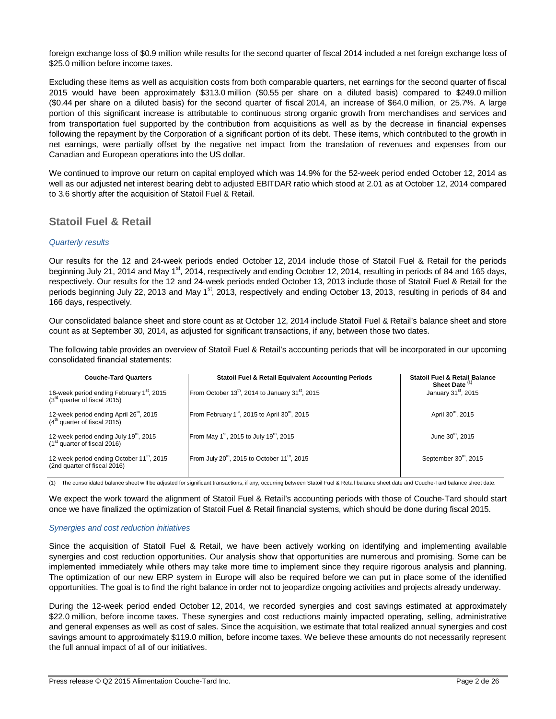foreign exchange loss of \$0.9 million while results for the second quarter of fiscal 2014 included a net foreign exchange loss of \$25.0 million before income taxes.

Excluding these items as well as acquisition costs from both comparable quarters, net earnings for the second quarter of fiscal 2015 would have been approximately \$313.0 million (\$0.55 per share on a diluted basis) compared to \$249.0 million (\$0.44 per share on a diluted basis) for the second quarter of fiscal 2014, an increase of \$64.0 million, or 25.7%. A large portion of this significant increase is attributable to continuous strong organic growth from merchandises and services and from transportation fuel supported by the contribution from acquisitions as well as by the decrease in financial expenses following the repayment by the Corporation of a significant portion of its debt. These items, which contributed to the growth in net earnings, were partially offset by the negative net impact from the translation of revenues and expenses from our Canadian and European operations into the US dollar.

We continued to improve our return on capital employed which was 14.9% for the 52-week period ended October 12, 2014 as well as our adjusted net interest bearing debt to adjusted EBITDAR ratio which stood at 2.01 as at October 12, 2014 compared to 3.6 shortly after the acquisition of Statoil Fuel & Retail.

## **Statoil Fuel & Retail**

### *Quarterly results*

Our results for the 12 and 24-week periods ended October 12, 2014 include those of Statoil Fuel & Retail for the periods beginning July 21, 2014 and May 1<sup>st</sup>, 2014, respectively and ending October 12, 2014, resulting in periods of 84 and 165 days, respectively. Our results for the 12 and 24-week periods ended October 13, 2013 include those of Statoil Fuel & Retail for the periods beginning July 22, 2013 and May 1<sup>st</sup>, 2013, respectively and ending October 13, 2013, resulting in periods of 84 and 166 days, respectively.

Our consolidated balance sheet and store count as at October 12, 2014 include Statoil Fuel & Retail's balance sheet and store count as at September 30, 2014, as adjusted for significant transactions, if any, between those two dates.

The following table provides an overview of Statoil Fuel & Retail's accounting periods that will be incorporated in our upcoming consolidated financial statements:

| <b>Couche-Tard Quarters</b>                                                             | <b>Statoil Fuel &amp; Retail Equivalent Accounting Periods</b>       | <b>Statoil Fuel &amp; Retail Balance</b><br>Sheet Date <sup>(1)</sup> |
|-----------------------------------------------------------------------------------------|----------------------------------------------------------------------|-----------------------------------------------------------------------|
| 16-week period ending February 1 <sup>st</sup> , 2015<br>$(3rd$ quarter of fiscal 2015) | From October $13th$ , 2014 to January 31 <sup>st</sup> , 2015        | January 31 <sup>st</sup> , 2015                                       |
| 12-week period ending April 26 <sup>th</sup> , 2015<br>$(4th$ quarter of fiscal 2015)   | From February $1st$ , 2015 to April 30 <sup>th</sup> , 2015          | April 30 <sup>th</sup> , 2015                                         |
| 12-week period ending July 19 <sup>th</sup> , 2015<br>$(1st$ quarter of fiscal 2016)    | From May 1 <sup>st</sup> , 2015 to July 19 <sup>th</sup> , 2015      | June $30^{th}$ , 2015                                                 |
| 12-week period ending October 11 <sup>th</sup> , 2015<br>(2nd quarter of fiscal 2016)   | From July 20 <sup>th</sup> , 2015 to October 11 <sup>th</sup> , 2015 | September 30 <sup>th</sup> , 2015                                     |

(1) The consolidated balance sheet will be adjusted for significant transactions, if any, occurring between Statoil Fuel & Retail balance sheet date and Couche-Tard balance sheet date.

We expect the work toward the alignment of Statoil Fuel & Retail's accounting periods with those of Couche-Tard should start once we have finalized the optimization of Statoil Fuel & Retail financial systems, which should be done during fiscal 2015.

### *Synergies and cost reduction initiatives*

Since the acquisition of Statoil Fuel & Retail, we have been actively working on identifying and implementing available synergies and cost reduction opportunities. Our analysis show that opportunities are numerous and promising. Some can be implemented immediately while others may take more time to implement since they require rigorous analysis and planning. The optimization of our new ERP system in Europe will also be required before we can put in place some of the identified opportunities. The goal is to find the right balance in order not to jeopardize ongoing activities and projects already underway.

During the 12-week period ended October 12, 2014, we recorded synergies and cost savings estimated at approximately \$22.0 million, before income taxes. These synergies and cost reductions mainly impacted operating, selling, administrative and general expenses as well as cost of sales. Since the acquisition, we estimate that total realized annual synergies and cost savings amount to approximately \$119.0 million, before income taxes. We believe these amounts do not necessarily represent the full annual impact of all of our initiatives.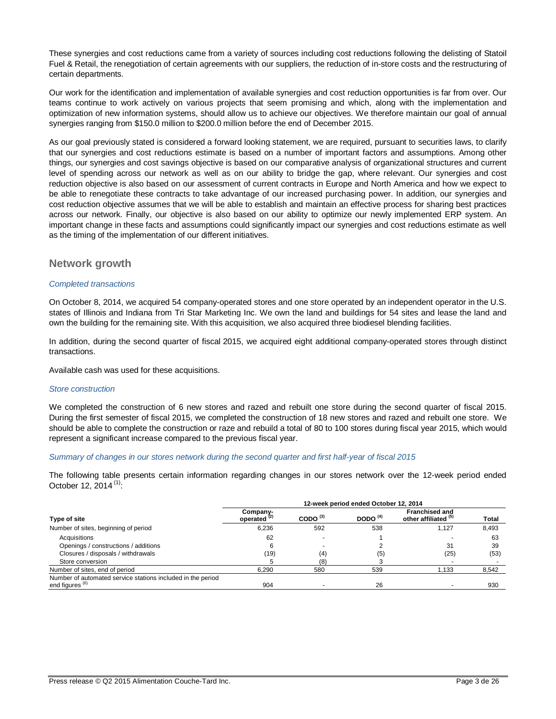These synergies and cost reductions came from a variety of sources including cost reductions following the delisting of Statoil Fuel & Retail, the renegotiation of certain agreements with our suppliers, the reduction of in-store costs and the restructuring of certain departments.

Our work for the identification and implementation of available synergies and cost reduction opportunities is far from over. Our teams continue to work actively on various projects that seem promising and which, along with the implementation and optimization of new information systems, should allow us to achieve our objectives. We therefore maintain our goal of annual synergies ranging from \$150.0 million to \$200.0 million before the end of December 2015.

As our goal previously stated is considered a forward looking statement, we are required, pursuant to securities laws, to clarify that our synergies and cost reductions estimate is based on a number of important factors and assumptions. Among other things, our synergies and cost savings objective is based on our comparative analysis of organizational structures and current level of spending across our network as well as on our ability to bridge the gap, where relevant. Our synergies and cost reduction objective is also based on our assessment of current contracts in Europe and North America and how we expect to be able to renegotiate these contracts to take advantage of our increased purchasing power. In addition, our synergies and cost reduction objective assumes that we will be able to establish and maintain an effective process for sharing best practices across our network. Finally, our objective is also based on our ability to optimize our newly implemented ERP system. An important change in these facts and assumptions could significantly impact our synergies and cost reductions estimate as well as the timing of the implementation of our different initiatives.

## **Network growth**

### *Completed transactions*

On October 8, 2014, we acquired 54 company-operated stores and one store operated by an independent operator in the U.S. states of Illinois and Indiana from Tri Star Marketing Inc. We own the land and buildings for 54 sites and lease the land and own the building for the remaining site. With this acquisition, we also acquired three biodiesel blending facilities.

In addition, during the second quarter of fiscal 2015, we acquired eight additional company-operated stores through distinct transactions.

Available cash was used for these acquisitions.

#### *Store construction*

We completed the construction of 6 new stores and razed and rebuilt one store during the second quarter of fiscal 2015. During the first semester of fiscal 2015, we completed the construction of 18 new stores and razed and rebuilt one store. We should be able to complete the construction or raze and rebuild a total of 80 to 100 stores during fiscal year 2015, which would represent a significant increase compared to the previous fiscal year.

#### *Summary of changes in our stores network during the second quarter and first half-year of fiscal 2015*

The following table presents certain information regarding changes in our stores network over the 12-week period ended October 12, 2014 (1):

|                                                             | 12-week period ended October 12, 2014 |               |            |                                               |       |  |  |  |  |
|-------------------------------------------------------------|---------------------------------------|---------------|------------|-----------------------------------------------|-------|--|--|--|--|
| <b>Type of site</b>                                         | Company-<br>operated $(2)$            | CODO $^{(3)}$ | DODO $(4)$ | <b>Franchised and</b><br>other affiliated (b) | Total |  |  |  |  |
| Number of sites, beginning of period                        | 6.236                                 | 592           | 538        | 1.127                                         | 8.493 |  |  |  |  |
| Acquisitions                                                | 62                                    |               |            |                                               | 63    |  |  |  |  |
| Openings / constructions / additions                        | 6                                     |               |            | 31                                            | 39    |  |  |  |  |
| Closures / disposals / withdrawals                          | (19)                                  | (4)           | (5)        | (25)                                          | (53)  |  |  |  |  |
| Store conversion                                            |                                       | (8)           |            |                                               |       |  |  |  |  |
| Number of sites, end of period                              | 6.290                                 | 580           | 539        | 1.133                                         | 8,542 |  |  |  |  |
| Number of automated service stations included in the period |                                       |               |            |                                               |       |  |  |  |  |
| end figures <sup>(6)</sup>                                  | 904                                   |               | 26         |                                               | 930   |  |  |  |  |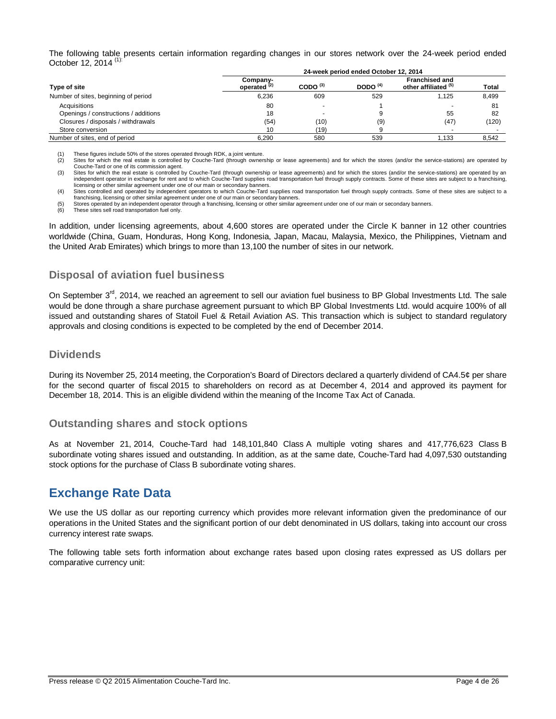The following table presents certain information regarding changes in our stores network over the 24-week period ended October 12, 2014<sup>(1)</sup>

|                                      |                                     | 24-week period ended October 12, 2014 |            |                                               |              |  |  |  |
|--------------------------------------|-------------------------------------|---------------------------------------|------------|-----------------------------------------------|--------------|--|--|--|
| Type of site                         | Company-<br>operated <sup>(2)</sup> | CODO $^{(3)}$                         | DODO $(4)$ | <b>Franchised and</b><br>other affiliated (b) | <b>Total</b> |  |  |  |
| Number of sites, beginning of period | 6.236                               | 609                                   | 529        | 1.125                                         | 8.499        |  |  |  |
| Acquisitions                         | 80                                  |                                       |            |                                               | 81           |  |  |  |
| Openings / constructions / additions | 18                                  |                                       |            | 55                                            | 82           |  |  |  |
| Closures / disposals / withdrawals   | (54)                                | (10)                                  | (9)        | (47)                                          | (120)        |  |  |  |
| Store conversion                     | 10                                  | (19)                                  |            |                                               |              |  |  |  |
| Number of sites, end of period       | 6.290                               | 580                                   | 539        | 1.133                                         | 8.542        |  |  |  |

(1) These figures include 50% of the stores operated through RDK, a joint venture<br>(2) Sites for which the real estate is controlled by Couche-Tard (through owner

Sites for which the real estate is controlled by Couche-Tard (through ownership or lease agreements) and for which the stores (and/or the service-stations) are operated by Couche-Tard or one of its commission agent.

Sites for which the real estate is controlled by Couche-Tard (through ownership or lease agreements) and for which the stores (and/or the service-stations) are operated by an (3) Sites for which the stores (and/or the serv independent operator in exchange for rent and to which Couche-Tard supplies road transportation fuel through supply contracts. Some of these sites are subject to a franchising, licensing or other similar agreement under one of our main or secondary banners.

(4) Sites controlled and operated by independent operators to which Couche-Tard supplies road transportation fuel through supply contracts. Some of these sites are subject to a franchising, licensing or other similar agreement under one of our main or secondary banners.

(5) Stores operated by an independent operator through a franchising, licensing or other similar agreement under one of our main or secondary banners.<br>(6) These sites sell road transportation fuel only.

These sites sell road transportation fuel only

In addition, under licensing agreements, about 4,600 stores are operated under the Circle K banner in 12 other countries worldwide (China, Guam, Honduras, Hong Kong, Indonesia, Japan, Macau, Malaysia, Mexico, the Philippines, Vietnam and the United Arab Emirates) which brings to more than 13,100 the number of sites in our network.

## **Disposal of aviation fuel business**

On September 3<sup>rd</sup>, 2014, we reached an agreement to sell our aviation fuel business to BP Global Investments Ltd. The sale would be done through a share purchase agreement pursuant to which BP Global Investments Ltd. would acquire 100% of all issued and outstanding shares of Statoil Fuel & Retail Aviation AS. This transaction which is subject to standard regulatory approvals and closing conditions is expected to be completed by the end of December 2014.

## **Dividends**

During its November 25, 2014 meeting, the Corporation's Board of Directors declared a quarterly dividend of CA4.5¢ per share for the second quarter of fiscal 2015 to shareholders on record as at December 4, 2014 and approved its payment for December 18, 2014. This is an eligible dividend within the meaning of the Income Tax Act of Canada.

## **Outstanding shares and stock options**

As at November 21, 2014, Couche-Tard had 148,101,840 Class A multiple voting shares and 417,776,623 Class B subordinate voting shares issued and outstanding. In addition, as at the same date, Couche-Tard had 4,097,530 outstanding stock options for the purchase of Class B subordinate voting shares.

# **Exchange Rate Data**

We use the US dollar as our reporting currency which provides more relevant information given the predominance of our operations in the United States and the significant portion of our debt denominated in US dollars, taking into account our cross currency interest rate swaps.

The following table sets forth information about exchange rates based upon closing rates expressed as US dollars per comparative currency unit: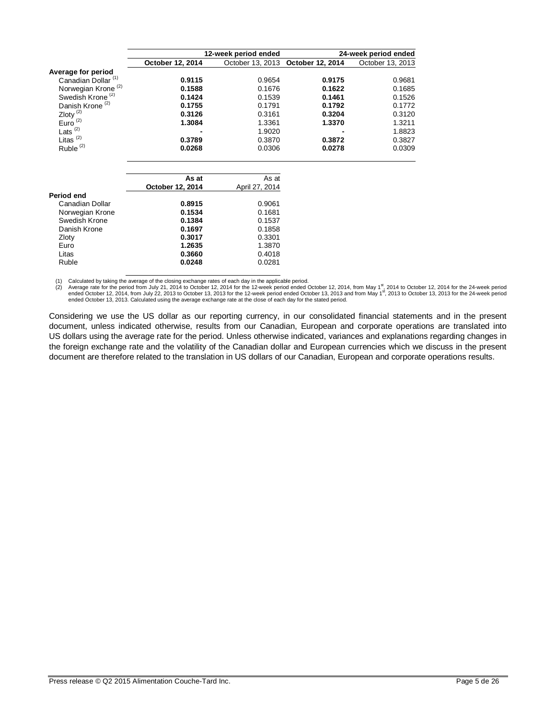|                                |                  | 12-week period ended | 24-week period ended              |                  |  |  |
|--------------------------------|------------------|----------------------|-----------------------------------|------------------|--|--|
|                                | October 12, 2014 |                      | October 13, 2013 October 12, 2014 | October 13, 2013 |  |  |
| Average for period             |                  |                      |                                   |                  |  |  |
| Canadian Dollar <sup>(1)</sup> | 0.9115           | 0.9654               | 0.9175                            | 0.9681           |  |  |
| Norwegian Krone <sup>(2)</sup> | 0.1588           | 0.1676               | 0.1622                            | 0.1685           |  |  |
| Swedish Krone <sup>(2)</sup>   | 0.1424           | 0.1539               | 0.1461                            | 0.1526           |  |  |
| Danish Krone <sup>(2)</sup>    | 0.1755           | 0.1791               | 0.1792                            | 0.1772           |  |  |
| Zloty $^{(2)}$                 | 0.3126           | 0.3161               | 0.3204                            | 0.3120           |  |  |
| Euro $(2)$                     | 1.3084           | 1.3361               | 1.3370                            | 1.3211           |  |  |
| Lats $^{(2)}$                  |                  | 1.9020               |                                   | 1.8823           |  |  |
| Litas $(2)$                    | 0.3789           | 0.3870               | 0.3872                            | 0.3827           |  |  |
| Ruble <sup>(2)</sup>           | 0.0268           | 0.0306               | 0.0278                            | 0.0309           |  |  |
|                                | As at            | As at                |                                   |                  |  |  |
|                                | October 12, 2014 | April 27, 2014       |                                   |                  |  |  |
| Period end                     |                  |                      |                                   |                  |  |  |
| Canadian Dollar                | 0.8915           | 0.9061               |                                   |                  |  |  |
| Norwegian Krone                | 0.1534           | 0.1681               |                                   |                  |  |  |
| Swedish Krone                  | 0.1384           | 0.1537               |                                   |                  |  |  |
| Danish Krone                   | 0.1697           | 0.1858               |                                   |                  |  |  |
| Zloty                          | 0.3017           | 0.3301               |                                   |                  |  |  |
| Euro                           | 1.2635           | 1.3870               |                                   |                  |  |  |
| Litas                          | 0.3660           | 0.4018               |                                   |                  |  |  |
| Ruble                          | 0.0248           | 0.0281               |                                   |                  |  |  |
|                                |                  |                      |                                   |                  |  |  |

(1) Calculated by taking the average of the closing exchange rates of each day in the applicable period.<br>(2) Average rate for the period from July 22, 2014 to October 12, 2014 of the 12-week period ended October 12, 2014,

Considering we use the US dollar as our reporting currency, in our consolidated financial statements and in the present document, unless indicated otherwise, results from our Canadian, European and corporate operations are translated into US dollars using the average rate for the period. Unless otherwise indicated, variances and explanations regarding changes in the foreign exchange rate and the volatility of the Canadian dollar and European currencies which we discuss in the present document are therefore related to the translation in US dollars of our Canadian, European and corporate operations results.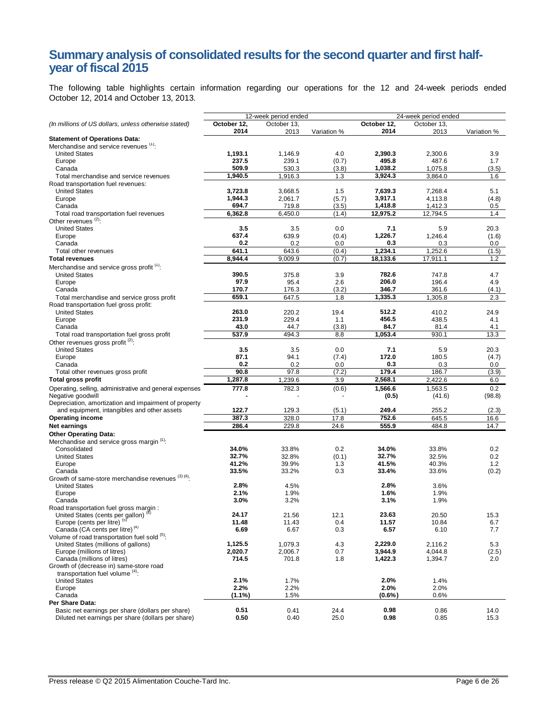# **Summary analysis of consolidated results for the second quarter and first halfyear of fiscal 2015**

The following table highlights certain information regarding our operations for the 12 and 24-week periods ended October 12, 2014 and October 13, 2013.

|                                                                                            |                     | 12-week period ended |             | 24-week period ended |                     |               |
|--------------------------------------------------------------------------------------------|---------------------|----------------------|-------------|----------------------|---------------------|---------------|
| (In millions of US dollars, unless otherwise stated)                                       | October 12,<br>2014 | October 13,<br>2013  | Variation % | October 12,<br>2014  | October 13,<br>2013 | Variation %   |
| <b>Statement of Operations Data:</b><br>Merchandise and service revenues (1):              |                     |                      |             |                      |                     |               |
| <b>United States</b>                                                                       | 1,193.1             | 1,146.9              | 4.0         | 2,390.3              | 2,300.6             | 3.9           |
| Europe                                                                                     | 237.5               | 239.1                | (0.7)       | 495.8                | 487.6               | 1.7           |
| Canada                                                                                     | 509.9               | 530.3                | (3.8)       | 1,038.2              | 1,075.8             | (3.5)         |
| Total merchandise and service revenues                                                     | 1,940.5             | 1,916.3              | 1.3         | 3,924.3              | 3,864.0             | 1.6           |
| Road transportation fuel revenues:                                                         |                     |                      |             |                      |                     |               |
| <b>United States</b>                                                                       | 3,723.8             | 3,668.5              | 1.5         | 7,639.3              | 7,268.4             | 5.1           |
| Europe                                                                                     | 1,944.3             | 2,061.7              | (5.7)       | 3,917.1              | 4,113.8             | (4.8)         |
| Canada                                                                                     | 694.7               | 719.8                | (3.5)       | 1,418.8              | 1,412.3             | 0.5           |
| Total road transportation fuel revenues                                                    | 6,362.8             | 6,450.0              | (1.4)       | 12,975.2             | 12,794.5            | 1.4           |
| Other revenues <sup>(2)</sup> :                                                            |                     |                      |             |                      |                     |               |
| <b>United States</b>                                                                       | 3.5                 | 3.5                  | 0.0         | 7.1                  | 5.9                 | 20.3          |
| Europe                                                                                     | 637.4               | 639.9                | (0.4)       | 1.226.7              | 1,246.4             | (1.6)         |
| Canada                                                                                     | 0.2                 | 0.2                  | 0.0         | 0.3                  | 0.3                 | 0.0           |
| Total other revenues                                                                       | 641.1               | 643.6                | (0.4)       | 1,234.1              | 1,252.6             | (1.5)         |
| <b>Total revenues</b>                                                                      | 8,944.4             | 9,009.9              | (0.7)       | 18,133.6             | 17,911.1            | 1.2           |
| Merchandise and service gross profit <sup>(1)</sup> :                                      |                     |                      |             |                      |                     |               |
| <b>United States</b>                                                                       | 390.5               | 375.8                | 3.9         | 782.6                | 747.8               | 4.7           |
| Europe                                                                                     | 97.9                | 95.4                 | 2.6         | 206.0                | 196.4               | 4.9           |
| Canada                                                                                     | 170.7               | 176.3                | (3.2)       | 346.7                | 361.6               | (4.1)         |
| Total merchandise and service gross profit                                                 | 659.1               | 647.5                | 1.8         | 1,335.3              | 1,305.8             | 2.3           |
| Road transportation fuel gross profit:                                                     |                     |                      |             |                      |                     |               |
| <b>United States</b>                                                                       | 263.0               | 220.2                | 19.4        | 512.2                | 410.2               | 24.9          |
| Europe                                                                                     | 231.9               | 229.4                | 1.1         | 456.5                | 438.5               | 4.1           |
| Canada                                                                                     | 43.0                | 44.7                 | (3.8)       | 84.7                 | 81.4                | 4.1           |
| Total road transportation fuel gross profit                                                | 537.9               | 494.3                | 8.8         | 1,053.4              | 930.1               | 13.3          |
| Other revenues gross profit (2):                                                           |                     |                      |             |                      |                     |               |
| <b>United States</b>                                                                       | 3.5                 | 3.5                  | 0.0         | 7.1                  | 5.9                 | 20.3          |
| Europe                                                                                     | 87.1                | 94.1                 | (7.4)       | 172.0                | 180.5               | (4.7)         |
| Canada                                                                                     | 0.2                 | 0.2                  | 0.0         | 0.3                  | 0.3                 | 0.0           |
| Total other revenues gross profit                                                          | 90.8                | 97.8                 | (7.2)       | 179.4                | 186.7               | (3.9)         |
| <b>Total gross profit</b>                                                                  | 1,287.8             | 1,239.6              | 3.9         | 2,568.1              | 2,422.6             | 6.0           |
| Operating, selling, administrative and general expenses<br>Negative goodwill               | 777.8               | 782.3                | (0.6)       | 1,566.6<br>(0.5)     | 1,563.5<br>(41.6)   | 0.2<br>(98.8) |
| Depreciation, amortization and impairment of property                                      |                     |                      |             |                      |                     |               |
| and equipment, intangibles and other assets                                                | 122.7               | 129.3                | (5.1)       | 249.4                | 255.2               | (2.3)         |
| <b>Operating income</b>                                                                    | 387.3               | 328.0                | 17.8        | 752.6                | 645.5               | 16.6          |
| Net earnings                                                                               | 286.4               | 229.8                | 24.6        | 555.9                | 484.8               | 14.7          |
| <b>Other Operating Data:</b>                                                               |                     |                      |             |                      |                     |               |
| Merchandise and service gross margin <sup>(1)</sup> :                                      |                     |                      |             |                      |                     |               |
| Consolidated                                                                               | 34.0%               | 33.8%                | 0.2         | 34.0%                | 33.8%               | 0.2           |
| <b>United States</b>                                                                       | 32.7%               | 32.8%                | (0.1)       | 32.7%                | 32.5%               | 0.2           |
| Europe                                                                                     | 41.2%               | 39.9%                | 1.3         | 41.5%                | 40.3%               | 1.2           |
| Canada                                                                                     | 33.5%               | 33.2%                | 0.3         | 33.4%                | 33.6%               | (0.2)         |
| Growth of same-store merchandise revenues (3) (4).                                         |                     |                      |             |                      |                     |               |
| <b>United States</b>                                                                       | 2.8%                | 4.5%                 |             | 2.8%                 | 3.6%                |               |
| Europe                                                                                     | 2.1%                | 1.9%                 |             | 1.6%                 | 1.9%                |               |
| Canada                                                                                     | 3.0%                | 3.2%                 |             | 3.1%                 | 1.9%                |               |
| Road transportation fuel gross margin :                                                    | 24.17               | 21.56                | 12.1        | 23.63                | 20.50               | 15.3          |
| United States (cents per gallon) <sup>(4)</sup><br>Europe (cents per litre) <sup>(5)</sup> | 11.48               | 11.43                | 0.4         | 11.57                | 10.84               |               |
| Canada (CA cents per litre) <sup>(4)</sup>                                                 | 6.69                | 6.67                 | 0.3         | 6.57                 | 6.10                | 6.7<br>7.7    |
| Volume of road transportation fuel sold (5).                                               |                     |                      |             |                      |                     |               |
| United States (millions of gallons)                                                        | 1,125.5             | 1,079.3              | 4.3         | 2,229.0              | 2,116.2             | 5.3           |
| Europe (millions of litres)                                                                | 2,020.7             | 2,006.7              | 0.7         | 3,944.9              | 4,044.8             |               |
| Canada (millions of litres)                                                                | 714.5               | 701.8                | 1.8         | 1,422.3              | 1,394.7             | (2.5)<br>2.0  |
| Growth of (decrease in) same-store road                                                    |                     |                      |             |                      |                     |               |
| transportation fuel volume (4):                                                            |                     |                      |             |                      |                     |               |
| <b>United States</b>                                                                       | 2.1%                | 1.7%                 |             | 2.0%                 | 1.4%                |               |
| Europe                                                                                     | 2.2%                | 2.2%                 |             | 2.0%                 | 2.0%                |               |
| Canada                                                                                     | $(1.1\%)$           | 1.5%                 |             | $(0.6\%)$            | 0.6%                |               |
| Per Share Data:                                                                            |                     |                      |             |                      |                     |               |
| Basic net earnings per share (dollars per share)                                           | 0.51                | 0.41                 | 24.4        | 0.98                 | 0.86                | 14.0          |
| Diluted net earnings per share (dollars per share)                                         | 0.50                | 0.40                 | 25.0        | 0.98                 | 0.85                | 15.3          |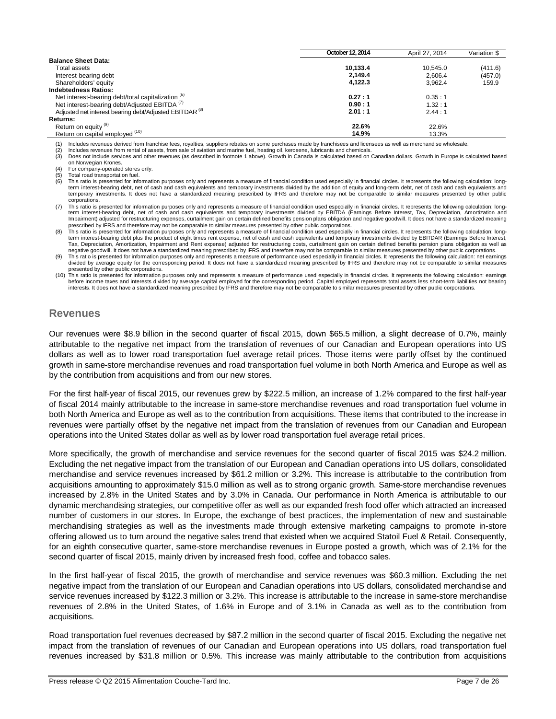|                                                                    | October 12, 2014 | April 27, 2014 | Variation \$ |
|--------------------------------------------------------------------|------------------|----------------|--------------|
| <b>Balance Sheet Data:</b>                                         |                  |                |              |
| Total assets                                                       | 10.133.4         | 10.545.0       | (411.6)      |
| Interest-bearing debt                                              | 2.149.4          | 2.606.4        | (457.0)      |
| Shareholders' equity                                               | 4,122.3          | 3.962.4        | 159.9        |
| <b>Indebtedness Ratios:</b>                                        |                  |                |              |
| Net interest-bearing debt/total capitalization <sup>(6)</sup>      | 0.27:1           | 0.35:1         |              |
| Net interest-bearing debt/Adjusted EBITDA <sup>(7)</sup>           | 0.90:1           | 1.32:1         |              |
| Adjusted net interest bearing debt/Adjusted EBITDAR <sup>(8)</sup> | 2.01:1           | 2.44:1         |              |
| <b>Returns:</b>                                                    |                  |                |              |
| Return on equity <sup>(9)</sup>                                    | 22.6%            | 22.6%          |              |
| Return on capital employed (10)                                    | 14.9%            | 13.3%          |              |

(1) Includes revenues derived from franchise fees, royalties, suppliers rebates on some purchases made by franchisees and licensees as well as merchandise wholesale.<br>(2) Includes revenues from rental of assets, from sale o

Includes revenues from rental of assets, from sale of aviation and marine fuel, heating oil, kerosene, lubricants and chemicals

(3) Does not include services and other revenues (as described in footnote 1 above). Growth in Canada is calculated based on Canadian dollars. Growth in Europe is calculated based on Norwegian Krones.

For company-operated stores only.

(5) Total road transportation fuel.<br>(6) This ratio is presented for info

This ratio is presented for information purposes only and represents a measure of financial condition used especially in financial circles. It represents the following calculation: longterm interest-bearing debt, net of cash and cash equivalents and temporary investments divided by the addition of equity and long-term debt, net of cash and cash equivalents and temporary investments. It does not have a standardized meaning prescribed by IFRS and therefore may not be comparable to similar measures presented by other public corporations.

(7) This ratio is presented for information purposes only and represents a measure of financial condition used especially in financial circles. It represents the following calculation: longterm interest-bearing debt, net of cash and cash equivalents and temporary investments divided by EBITDA (Earnings Before Interest, Tax, Depreciation, Amortization and Impairment) adjusted for restructuring expenses, curtailment gain on certain defined benefits pension plans obligation and negative goodwill. It does not have a standardized meaning prescribed by IFRS and therefore may not be comparable to similar measures presented by other public corporations.

-8)) This ratio is presented for information purposes only and represents a measure of financial condition used especially in financial circles. It represents the following calculation: long-<br>term interest-bearing debt plu Tax, Depreciation, Amortization, Impairment and Rent expense) adjusted for restructuring costs, curtailment gain on certain defined benefits pension plans obligation as well as

negative goodwill. It does not have a standardized meaning prescribed by IFRS and therefore may not be comparable to similar measures presented by other public corporations.<br>(9) This ratio is presented for information purp divided by average equity for the corresponding period. It does not have a standardized meaning prescribed by IFRS and therefore may not be comparable to similar measures presented by other public corporations.

(10) This ratio is presented for information purposes only and represents a measure of performance used especially in financial circles. It represents the following calculation: earnings before income taxes and interests divided by average capital employed for the corresponding period. Capital employed represents total assets less short-term liabilities not bearing<br>interests. It does not have a standardize

## **Revenues**

Our revenues were \$8.9 billion in the second quarter of fiscal 2015, down \$65.5 million, a slight decrease of 0.7%, mainly attributable to the negative net impact from the translation of revenues of our Canadian and European operations into US dollars as well as to lower road transportation fuel average retail prices. Those items were partly offset by the continued growth in same-store merchandise revenues and road transportation fuel volume in both North America and Europe as well as by the contribution from acquisitions and from our new stores.

For the first half-year of fiscal 2015, our revenues grew by \$222.5 million, an increase of 1.2% compared to the first half-year of fiscal 2014 mainly attributable to the increase in same-store merchandise revenues and road transportation fuel volume in both North America and Europe as well as to the contribution from acquisitions. These items that contributed to the increase in revenues were partially offset by the negative net impact from the translation of revenues from our Canadian and European operations into the United States dollar as well as by lower road transportation fuel average retail prices.

More specifically, the growth of merchandise and service revenues for the second quarter of fiscal 2015 was \$24.2 million. Excluding the net negative impact from the translation of our European and Canadian operations into US dollars, consolidated merchandise and service revenues increased by \$61.2 million or 3.2%. This increase is attributable to the contribution from acquisitions amounting to approximately \$15.0 million as well as to strong organic growth. Same-store merchandise revenues increased by 2.8% in the United States and by 3.0% in Canada. Our performance in North America is attributable to our dynamic merchandising strategies, our competitive offer as well as our expanded fresh food offer which attracted an increased number of customers in our stores. In Europe, the exchange of best practices, the implementation of new and sustainable merchandising strategies as well as the investments made through extensive marketing campaigns to promote in-store offering allowed us to turn around the negative sales trend that existed when we acquired Statoil Fuel & Retail. Consequently, for an eighth consecutive quarter, same-store merchandise revenues in Europe posted a growth, which was of 2.1% for the second quarter of fiscal 2015, mainly driven by increased fresh food, coffee and tobacco sales.

In the first half-year of fiscal 2015, the growth of merchandise and service revenues was \$60.3 million. Excluding the net negative impact from the translation of our European and Canadian operations into US dollars, consolidated merchandise and service revenues increased by \$122.3 million or 3.2%. This increase is attributable to the increase in same-store merchandise revenues of 2.8% in the United States, of 1.6% in Europe and of 3.1% in Canada as well as to the contribution from acquisitions.

Road transportation fuel revenues decreased by \$87.2 million in the second quarter of fiscal 2015. Excluding the negative net impact from the translation of revenues of our Canadian and European operations into US dollars, road transportation fuel revenues increased by \$31.8 million or 0.5%. This increase was mainly attributable to the contribution from acquisitions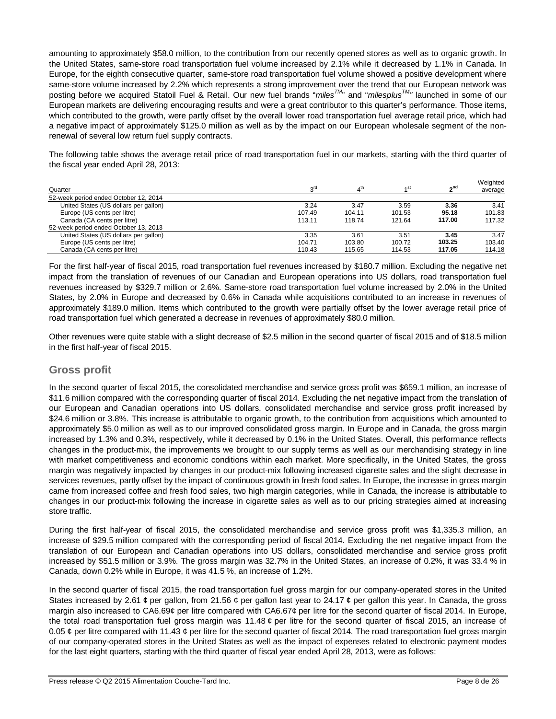amounting to approximately \$58.0 million, to the contribution from our recently opened stores as well as to organic growth. In the United States, same-store road transportation fuel volume increased by 2.1% while it decreased by 1.1% in Canada. In Europe, for the eighth consecutive quarter, same-store road transportation fuel volume showed a positive development where same-store volume increased by 2.2% which represents a strong improvement over the trend that our European network was posting before we acquired Statoil Fuel & Retail. Our new fuel brands "*milesTM*" and "*milesplusTM"* launched in some of our European markets are delivering encouraging results and were a great contributor to this quarter's performance. Those items, which contributed to the growth, were partly offset by the overall lower road transportation fuel average retail price, which had a negative impact of approximately \$125.0 million as well as by the impact on our European wholesale segment of the nonrenewal of several low return fuel supply contracts.

The following table shows the average retail price of road transportation fuel in our markets, starting with the third quarter of the fiscal year ended April 28, 2013:

| Quarter                               | rd د   | 4 <sup>th</sup> | 4 <sup>st</sup> | <sub>2</sub> nd | Weighted<br>average |
|---------------------------------------|--------|-----------------|-----------------|-----------------|---------------------|
| 52-week period ended October 12, 2014 |        |                 |                 |                 |                     |
| United States (US dollars per gallon) | 3.24   | 3.47            | 3.59            | 3.36            | 3.41                |
| Europe (US cents per litre)           | 107.49 | 104.11          | 101.53          | 95.18           | 101.83              |
| Canada (CA cents per litre)           | 113.11 | 118.74          | 121.64          | 117.00          | 117.32              |
| 52-week period ended October 13, 2013 |        |                 |                 |                 |                     |
| United States (US dollars per gallon) | 3.35   | 3.61            | 3.51            | 3.45            | 3.47                |
| Europe (US cents per litre)           | 104.71 | 103.80          | 100.72          | 103.25          | 103.40              |
| Canada (CA cents per litre)           | 110.43 | 115.65          | 114.53          | 117.05          | 114.18              |

For the first half-year of fiscal 2015, road transportation fuel revenues increased by \$180.7 million. Excluding the negative net impact from the translation of revenues of our Canadian and European operations into US dollars, road transportation fuel revenues increased by \$329.7 million or 2.6%. Same-store road transportation fuel volume increased by 2.0% in the United States, by 2.0% in Europe and decreased by 0.6% in Canada while acquisitions contributed to an increase in revenues of approximately \$189.0 million. Items which contributed to the growth were partially offset by the lower average retail price of road transportation fuel which generated a decrease in revenues of approximately \$80.0 million.

Other revenues were quite stable with a slight decrease of \$2.5 million in the second quarter of fiscal 2015 and of \$18.5 million in the first half-year of fiscal 2015.

# **Gross profit**

In the second quarter of fiscal 2015, the consolidated merchandise and service gross profit was \$659.1 million, an increase of \$11.6 million compared with the corresponding quarter of fiscal 2014. Excluding the net negative impact from the translation of our European and Canadian operations into US dollars, consolidated merchandise and service gross profit increased by \$24.6 million or 3.8%. This increase is attributable to organic growth, to the contribution from acquisitions which amounted to approximately \$5.0 million as well as to our improved consolidated gross margin. In Europe and in Canada, the gross margin increased by 1.3% and 0.3%, respectively, while it decreased by 0.1% in the United States. Overall, this performance reflects changes in the product-mix, the improvements we brought to our supply terms as well as our merchandising strategy in line with market competitiveness and economic conditions within each market. More specifically, in the United States, the gross margin was negatively impacted by changes in our product-mix following increased cigarette sales and the slight decrease in services revenues, partly offset by the impact of continuous growth in fresh food sales. In Europe, the increase in gross margin came from increased coffee and fresh food sales, two high margin categories, while in Canada, the increase is attributable to changes in our product-mix following the increase in cigarette sales as well as to our pricing strategies aimed at increasing store traffic.

During the first half-year of fiscal 2015, the consolidated merchandise and service gross profit was \$1,335.3 million, an increase of \$29.5 million compared with the corresponding period of fiscal 2014. Excluding the net negative impact from the translation of our European and Canadian operations into US dollars, consolidated merchandise and service gross profit increased by \$51.5 million or 3.9%. The gross margin was 32.7% in the United States, an increase of 0.2%, it was 33.4 % in Canada, down 0.2% while in Europe, it was 41.5 %, an increase of 1.2%.

In the second quarter of fiscal 2015, the road transportation fuel gross margin for our company-operated stores in the United States increased by 2.61  $\phi$  per gallon, from 21.56  $\phi$  per gallon last year to 24.17  $\phi$  per gallon this year. In Canada, the gross margin also increased to CA6.69¢ per litre compared with CA6.67¢ per litre for the second quarter of fiscal 2014. In Europe, the total road transportation fuel gross margin was 11.48  $\phi$  per litre for the second quarter of fiscal 2015, an increase of 0.05  $\phi$  per litre compared with 11.43  $\phi$  per litre for the second quarter of fiscal 2014. The road transportation fuel gross margin of our company-operated stores in the United States as well as the impact of expenses related to electronic payment modes for the last eight quarters, starting with the third quarter of fiscal year ended April 28, 2013, were as follows: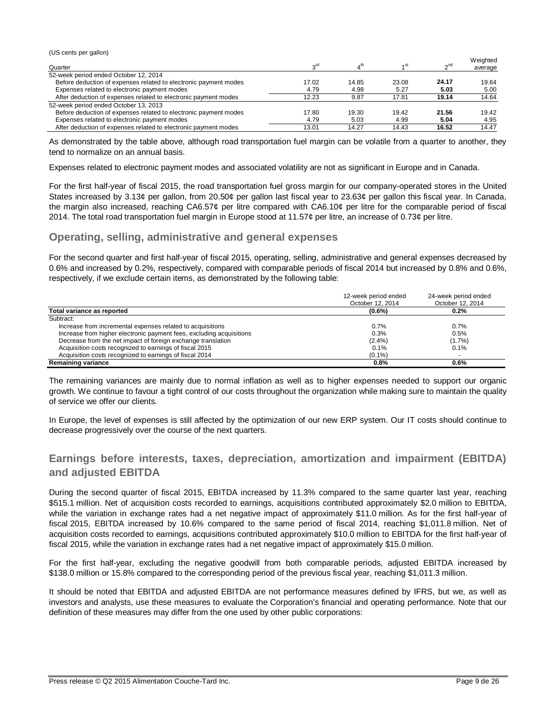(US cents per gallon)

|                                                                  |       |       |       |       | Weighted |
|------------------------------------------------------------------|-------|-------|-------|-------|----------|
| Quarter                                                          | oro   |       | ⊿ St  | 2n    | average  |
| 52-week period ended October 12, 2014                            |       |       |       |       |          |
| Before deduction of expenses related to electronic payment modes | 17.02 | 14.85 | 23.08 | 24.17 | 19.64    |
| Expenses related to electronic payment modes                     | 4.79  | 4.98  | 5.27  | 5.03  | 5.00     |
| After deduction of expenses related to electronic payment modes  | 12.23 | 9.87  | 17.81 | 19.14 | 14.64    |
| 52-week period ended October 13, 2013                            |       |       |       |       |          |
| Before deduction of expenses related to electronic payment modes | 17.80 | 19.30 | 19.42 | 21.56 | 19.42    |
| Expenses related to electronic payment modes                     | 4.79  | 5.03  | 4.99  | 5.04  | 4.95     |
| After deduction of expenses related to electronic payment modes  | 13.01 | 14.27 | 14.43 | 16.52 | 14.47    |

As demonstrated by the table above, although road transportation fuel margin can be volatile from a quarter to another, they tend to normalize on an annual basis.

Expenses related to electronic payment modes and associated volatility are not as significant in Europe and in Canada.

For the first half-year of fiscal 2015, the road transportation fuel gross margin for our company-operated stores in the United States increased by 3.13¢ per gallon, from 20.50¢ per gallon last fiscal year to 23.63¢ per gallon this fiscal year. In Canada, the margin also increased, reaching CA6.57¢ per litre compared with CA6.10¢ per litre for the comparable period of fiscal 2014. The total road transportation fuel margin in Europe stood at 11.57¢ per litre, an increase of 0.73¢ per litre.

## **Operating, selling, administrative and general expenses**

For the second quarter and first half-year of fiscal 2015, operating, selling, administrative and general expenses decreased by 0.6% and increased by 0.2%, respectively, compared with comparable periods of fiscal 2014 but increased by 0.8% and 0.6%, respectively, if we exclude certain items, as demonstrated by the following table:

|                                                                      | 12-week period ended<br>October 12, 2014 | 24-week period ended<br>October 12, 2014 |
|----------------------------------------------------------------------|------------------------------------------|------------------------------------------|
| Total variance as reported                                           | $(0.6\%)$                                | 0.2%                                     |
| Subtract:                                                            |                                          |                                          |
| Increase from incremental expenses related to acquisitions           | 0.7%                                     | 0.7%                                     |
| Increase from higher electronic payment fees, excluding acquisitions | 0.3%                                     | 0.5%                                     |
| Decrease from the net impact of foreign exchange translation         | $(2.4\%)$                                | $(1.7\%)$                                |
| Acquisition costs recognized to earnings of fiscal 2015              | 0.1%                                     | 0.1%                                     |
| Acquisition costs recognized to earnings of fiscal 2014              | $(0.1\%)$                                |                                          |
| <b>Remaining variance</b>                                            | 0.8%                                     | 0.6%                                     |

The remaining variances are mainly due to normal inflation as well as to higher expenses needed to support our organic growth. We continue to favour a tight control of our costs throughout the organization while making sure to maintain the quality of service we offer our clients.

In Europe, the level of expenses is still affected by the optimization of our new ERP system. Our IT costs should continue to decrease progressively over the course of the next quarters.

# **Earnings before interests, taxes, depreciation, amortization and impairment (EBITDA) and adjusted EBITDA**

During the second quarter of fiscal 2015, EBITDA increased by 11.3% compared to the same quarter last year, reaching \$515.1 million. Net of acquisition costs recorded to earnings, acquisitions contributed approximately \$2.0 million to EBITDA, while the variation in exchange rates had a net negative impact of approximately \$11.0 million. As for the first half-year of fiscal 2015, EBITDA increased by 10.6% compared to the same period of fiscal 2014, reaching \$1,011.8 million. Net of acquisition costs recorded to earnings, acquisitions contributed approximately \$10.0 million to EBITDA for the first half-year of fiscal 2015, while the variation in exchange rates had a net negative impact of approximately \$15.0 million.

For the first half-year, excluding the negative goodwill from both comparable periods, adjusted EBITDA increased by \$138.0 million or 15.8% compared to the corresponding period of the previous fiscal year, reaching \$1,011.3 million.

It should be noted that EBITDA and adjusted EBITDA are not performance measures defined by IFRS, but we, as well as investors and analysts, use these measures to evaluate the Corporation's financial and operating performance. Note that our definition of these measures may differ from the one used by other public corporations: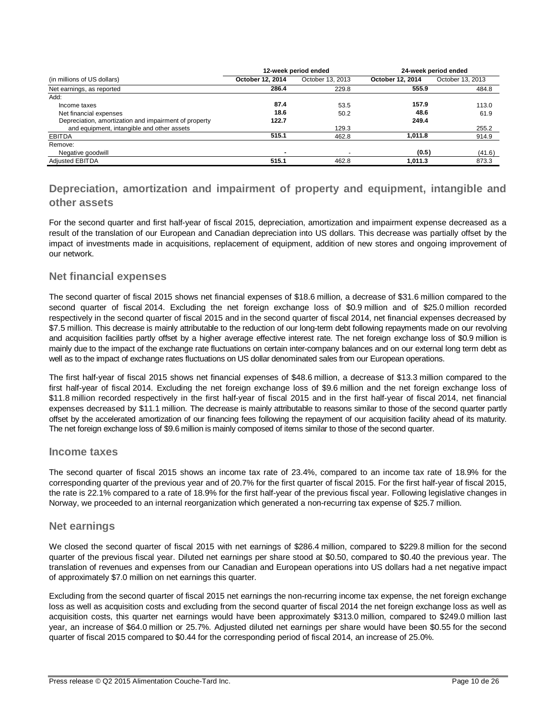|                                                       |                  | 12-week period ended | 24-week period ended |                  |  |
|-------------------------------------------------------|------------------|----------------------|----------------------|------------------|--|
| (in millions of US dollars)                           | October 12, 2014 | October 13, 2013     | October 12, 2014     | October 13, 2013 |  |
| Net earnings, as reported                             | 286.4            | 229.8                | 555.9                | 484.8            |  |
| Add:                                                  |                  |                      |                      |                  |  |
| Income taxes                                          | 87.4             | 53.5                 | 157.9                | 113.0            |  |
| Net financial expenses                                | 18.6             | 50.2                 | 48.6                 | 61.9             |  |
| Depreciation, amortization and impairment of property | 122.7            |                      | 249.4                |                  |  |
| and equipment, intangible and other assets            |                  | 129.3                |                      | 255.2            |  |
| <b>EBITDA</b>                                         | 515.1            | 462.8                | 1.011.8              | 914.9            |  |
| Remove:                                               |                  |                      |                      |                  |  |
| Negative goodwill                                     | -                |                      | (0.5)                | (41.6)           |  |
| <b>Adiusted EBITDA</b>                                | 515.1            | 462.8                | 1,011.3              | 873.3            |  |

# **Depreciation, amortization and impairment of property and equipment, intangible and other assets**

For the second quarter and first half-year of fiscal 2015, depreciation, amortization and impairment expense decreased as a result of the translation of our European and Canadian depreciation into US dollars. This decrease was partially offset by the impact of investments made in acquisitions, replacement of equipment, addition of new stores and ongoing improvement of our network.

## **Net financial expenses**

The second quarter of fiscal 2015 shows net financial expenses of \$18.6 million, a decrease of \$31.6 million compared to the second quarter of fiscal 2014. Excluding the net foreign exchange loss of \$0.9 million and of \$25.0 million recorded respectively in the second quarter of fiscal 2015 and in the second quarter of fiscal 2014, net financial expenses decreased by \$7.5 million. This decrease is mainly attributable to the reduction of our long-term debt following repayments made on our revolving and acquisition facilities partly offset by a higher average effective interest rate. The net foreign exchange loss of \$0.9 million is mainly due to the impact of the exchange rate fluctuations on certain inter-company balances and on our external long term debt as well as to the impact of exchange rates fluctuations on US dollar denominated sales from our European operations.

The first half-year of fiscal 2015 shows net financial expenses of \$48.6 million, a decrease of \$13.3 million compared to the first half-year of fiscal 2014. Excluding the net foreign exchange loss of \$9.6 million and the net foreign exchange loss of \$11.8 million recorded respectively in the first half-year of fiscal 2015 and in the first half-year of fiscal 2014, net financial expenses decreased by \$11.1 million. The decrease is mainly attributable to reasons similar to those of the second quarter partly offset by the accelerated amortization of our financing fees following the repayment of our acquisition facility ahead of its maturity. The net foreign exchange loss of \$9.6 million is mainly composed of items similar to those of the second quarter.

### **Income taxes**

The second quarter of fiscal 2015 shows an income tax rate of 23.4%, compared to an income tax rate of 18.9% for the corresponding quarter of the previous year and of 20.7% for the first quarter of fiscal 2015. For the first half-year of fiscal 2015, the rate is 22.1% compared to a rate of 18.9% for the first half-year of the previous fiscal year. Following legislative changes in Norway, we proceeded to an internal reorganization which generated a non-recurring tax expense of \$25.7 million.

## **Net earnings**

We closed the second quarter of fiscal 2015 with net earnings of \$286.4 million, compared to \$229.8 million for the second quarter of the previous fiscal year. Diluted net earnings per share stood at \$0.50, compared to \$0.40 the previous year. The translation of revenues and expenses from our Canadian and European operations into US dollars had a net negative impact of approximately \$7.0 million on net earnings this quarter.

Excluding from the second quarter of fiscal 2015 net earnings the non-recurring income tax expense, the net foreign exchange loss as well as acquisition costs and excluding from the second quarter of fiscal 2014 the net foreign exchange loss as well as acquisition costs, this quarter net earnings would have been approximately \$313.0 million, compared to \$249.0 million last year, an increase of \$64.0 million or 25.7%. Adjusted diluted net earnings per share would have been \$0.55 for the second quarter of fiscal 2015 compared to \$0.44 for the corresponding period of fiscal 2014, an increase of 25.0%.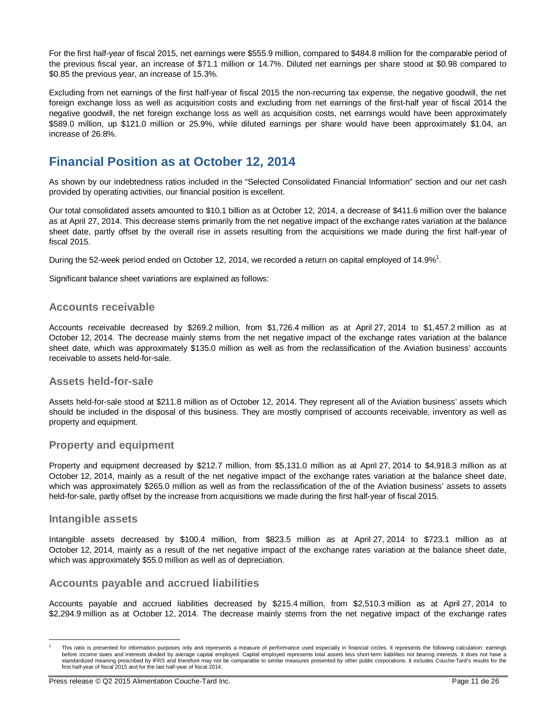For the first half-year of fiscal 2015, net earnings were \$555.9 million, compared to \$484.8 million for the comparable period of the previous fiscal year, an increase of \$71.1 million or 14.7%. Diluted net earnings per share stood at \$0.98 compared to \$0.85 the previous year, an increase of 15.3%.

Excluding from net earnings of the first half-year of fiscal 2015 the non-recurring tax expense, the negative goodwill, the net foreign exchange loss as well as acquisition costs and excluding from net earnings of the first-half year of fiscal 2014 the negative goodwill, the net foreign exchange loss as well as acquisition costs, net earnings would have been approximately \$589.0 million, up \$121.0 million or 25.9%, while diluted earnings per share would have been approximately \$1.04, an increase of 26.8%.

# **Financial Position as at October 12, 2014**

As shown by our indebtedness ratios included in the "Selected Consolidated Financial Information" section and our net cash provided by operating activities, our financial position is excellent.

Our total consolidated assets amounted to \$10.1 billion as at October 12, 2014, a decrease of \$411.6 million over the balance as at April 27, 2014. This decrease stems primarily from the net negative impact of the exchange rates variation at the balance sheet date, partly offset by the overall rise in assets resulting from the acquisitions we made during the first half-year of fiscal 2015.

During the 52-week period ended on October 12, 2014, we recorded a return on capital employed of 14.9%<sup>1</sup>.

Significant balance sheet variations are explained as follows:

## **Accounts receivable**

Accounts receivable decreased by \$269.2 million, from \$1,726.4 million as at April 27, 2014 to \$1,457.2 million as at October 12, 2014. The decrease mainly stems from the net negative impact of the exchange rates variation at the balance sheet date, which was approximately \$135.0 million as well as from the reclassification of the Aviation business' accounts receivable to assets held-for-sale.

## **Assets held-for-sale**

Assets held-for-sale stood at \$211.8 million as of October 12, 2014. They represent all of the Aviation business' assets which should be included in the disposal of this business. They are mostly comprised of accounts receivable, inventory as well as property and equipment.

# **Property and equipment**

Property and equipment decreased by \$212.7 million, from \$5,131.0 million as at April 27, 2014 to \$4,918.3 million as at October 12, 2014, mainly as a result of the net negative impact of the exchange rates variation at the balance sheet date, which was approximately \$265.0 million as well as from the reclassification of the of the Aviation business' assets to assets held-for-sale, partly offset by the increase from acquisitions we made during the first half-year of fiscal 2015.

## **Intangible assets**

 $\overline{a}$ 

Intangible assets decreased by \$100.4 million, from \$823.5 million as at April 27, 2014 to \$723.1 million as at October 12, 2014, mainly as a result of the net negative impact of the exchange rates variation at the balance sheet date, which was approximately \$55.0 million as well as of depreciation.

## **Accounts payable and accrued liabilities**

Accounts payable and accrued liabilities decreased by \$215.4 million, from \$2,510.3 million as at April 27, 2014 to \$2,294.9 million as at October 12, 2014. The decrease mainly stems from the net negative impact of the exchange rates

<sup>1</sup> This ratio is presented for information purposes only and represents a measure of performance used especially in financial circles. It represents the following calculation: earnings before income taxes and interests divided by average capital employed. Capital employed represents total assets less short-term liabilities not bearing interests. It does not have a standardized meaning prescribed by IFRS and therefore may not be comparable to similar measures presented by other public corporations. It includes Couche-Tard's results for the first half-year of fiscal 2015 and for the last half-year of fiscal 2014.

Press release © Q2 2015 Alimentation Couche-Tard Inc. Page 11 de 26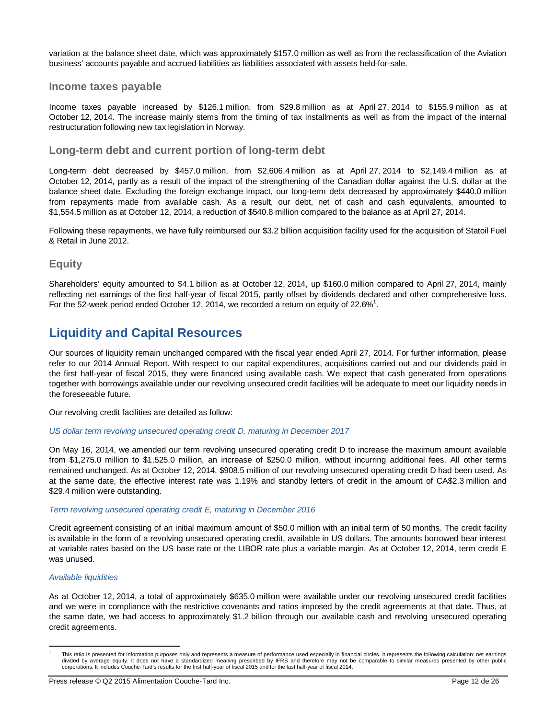variation at the balance sheet date, which was approximately \$157.0 million as well as from the reclassification of the Aviation business' accounts payable and accrued liabilities as liabilities associated with assets held-for-sale.

### **Income taxes payable**

Income taxes payable increased by \$126.1 million, from \$29.8 million as at April 27, 2014 to \$155.9 million as at October 12, 2014. The increase mainly stems from the timing of tax installments as well as from the impact of the internal restructuration following new tax legislation in Norway.

## **Long-term debt and current portion of long-term debt**

Long-term debt decreased by \$457.0 million, from \$2,606.4 million as at April 27, 2014 to \$2,149.4 million as at October 12, 2014, partly as a result of the impact of the strengthening of the Canadian dollar against the U.S. dollar at the balance sheet date. Excluding the foreign exchange impact, our long-term debt decreased by approximately \$440.0 million from repayments made from available cash. As a result, our debt, net of cash and cash equivalents, amounted to \$1,554.5 million as at October 12, 2014, a reduction of \$540.8 million compared to the balance as at April 27, 2014.

Following these repayments, we have fully reimbursed our \$3.2 billion acquisition facility used for the acquisition of Statoil Fuel & Retail in June 2012.

# **Equity**

Shareholders' equity amounted to \$4.1 billion as at October 12, 2014, up \$160.0 million compared to April 27, 2014, mainly reflecting net earnings of the first half-year of fiscal 2015, partly offset by dividends declared and other comprehensive loss. For the 52-week period ended October 12, 2014, we recorded a return on equity of 22.6%<sup>1</sup>.

# **Liquidity and Capital Resources**

Our sources of liquidity remain unchanged compared with the fiscal year ended April 27, 2014. For further information, please refer to our 2014 Annual Report. With respect to our capital expenditures, acquisitions carried out and our dividends paid in the first half-year of fiscal 2015, they were financed using available cash. We expect that cash generated from operations together with borrowings available under our revolving unsecured credit facilities will be adequate to meet our liquidity needs in the foreseeable future.

Our revolving credit facilities are detailed as follow:

### *US dollar term revolving unsecured operating credit D, maturing in December 2017*

On May 16, 2014, we amended our term revolving unsecured operating credit D to increase the maximum amount available from \$1,275.0 million to \$1,525.0 million, an increase of \$250.0 million, without incurring additional fees. All other terms remained unchanged. As at October 12, 2014, \$908.5 million of our revolving unsecured operating credit D had been used. As at the same date, the effective interest rate was 1.19% and standby letters of credit in the amount of CA\$2.3 million and \$29.4 million were outstanding.

### *Term revolving unsecured operating credit E, maturing in December 2016*

Credit agreement consisting of an initial maximum amount of \$50.0 million with an initial term of 50 months. The credit facility is available in the form of a revolving unsecured operating credit, available in US dollars. The amounts borrowed bear interest at variable rates based on the US base rate or the LIBOR rate plus a variable margin. As at October 12, 2014, term credit E was unused.

### *Available liquidities*

 $\overline{\phantom{a}}$ 

As at October 12, 2014, a total of approximately \$635.0 million were available under our revolving unsecured credit facilities and we were in compliance with the restrictive covenants and ratios imposed by the credit agreements at that date. Thus, at the same date, we had access to approximately \$1.2 billion through our available cash and revolving unsecured operating credit agreements.

<sup>1</sup> This ratio is presented for information purposes only and represents a measure of performance used especially in financial circles. It represents the following calculation: net earnings divided by average equity. It does not have a standardized meaning prescribed by IFRS and therefore may not be comparable to similar measures presented by other public<br>corporations. It includes Couche-Tard's results for th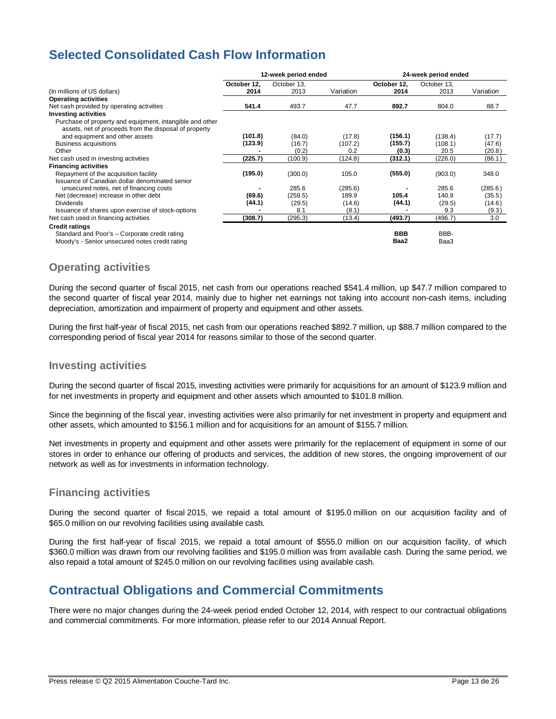# **Selected Consolidated Cash Flow Information**

|                                                                                                                   | 12-week period ended |             |           | 24-week period ended |             |           |  |
|-------------------------------------------------------------------------------------------------------------------|----------------------|-------------|-----------|----------------------|-------------|-----------|--|
|                                                                                                                   | October 12.          | October 13. | Variation | October 12.          | October 13. | Variation |  |
| (In millions of US dollars)                                                                                       | 2014                 | 2013        |           | 2014                 | 2013        |           |  |
| <b>Operating activities</b>                                                                                       |                      |             |           |                      |             |           |  |
| Net cash provided by operating activities                                                                         | 541.4                | 493.7       | 47.7      | 892.7                | 804.0       | 88.7      |  |
| <b>Investing activities</b>                                                                                       |                      |             |           |                      |             |           |  |
| Purchase of property and equipment, intangible and other<br>assets, net of proceeds from the disposal of property |                      |             |           |                      |             |           |  |
| and equipment and other assets                                                                                    | (101.8)              | (84.0)      | (17.8)    | (156.1)              | (138.4)     | (17.7)    |  |
| Business acquisitions                                                                                             | (123.9)              | (16.7)      | (107.2)   | (155.7)              | (108.1)     | (47.6)    |  |
| Other                                                                                                             |                      | (0.2)       | 0.2       | (0.3)                | 20.5        | (20.8)    |  |
| Net cash used in investing activities                                                                             | (225.7)              | (100.9)     | (124.8)   | (312.1)              | (226.0)     | (86.1)    |  |
| <b>Financing activities</b>                                                                                       |                      |             |           |                      |             |           |  |
| Repayment of the acquisition facility                                                                             | (195.0)              | (300.0)     | 105.0     | (555.0)              | (903.0)     | 348.0     |  |
| Issuance of Canadian dollar denominated senior                                                                    |                      |             |           |                      |             |           |  |
| unsecured notes, net of financing costs                                                                           |                      | 285.6       | (285.6)   |                      | 285.6       | (285.6)   |  |
| Net (decrease) increase in other debt                                                                             | (69.6)               | (259.5)     | 189.9     | 105.4                | 140.9       | (35.5)    |  |
| <b>Dividends</b>                                                                                                  | (44.1)               | (29.5)      | (14.6)    | (44.1)               | (29.5)      | (14.6)    |  |
| Issuance of shares upon exercise of stock-options                                                                 |                      | 8.1         | (8.1)     |                      | 9.3         | (9.3)     |  |
| Net cash used in financing activities                                                                             | (308.7)              | (295.3)     | (13.4)    | (493.7)              | (496.7)     | 3.0       |  |
| <b>Credit ratings</b>                                                                                             |                      |             |           |                      |             |           |  |
| Standard and Poor's - Corporate credit rating                                                                     |                      |             |           | <b>BBB</b>           | BBB-        |           |  |
| Moody's - Senior unsecured notes credit rating                                                                    |                      |             |           | Baa2                 | Baa3        |           |  |

# **Operating activities**

During the second quarter of fiscal 2015, net cash from our operations reached \$541.4 million, up \$47.7 million compared to the second quarter of fiscal year 2014, mainly due to higher net earnings not taking into account non-cash items, including depreciation, amortization and impairment of property and equipment and other assets.

During the first half-year of fiscal 2015, net cash from our operations reached \$892.7 million, up \$88.7 million compared to the corresponding period of fiscal year 2014 for reasons similar to those of the second quarter.

## **Investing activities**

During the second quarter of fiscal 2015, investing activities were primarily for acquisitions for an amount of \$123.9 million and for net investments in property and equipment and other assets which amounted to \$101.8 million.

Since the beginning of the fiscal year, investing activities were also primarily for net investment in property and equipment and other assets, which amounted to \$156.1 million and for acquisitions for an amount of \$155.7 million.

Net investments in property and equipment and other assets were primarily for the replacement of equipment in some of our stores in order to enhance our offering of products and services, the addition of new stores, the ongoing improvement of our network as well as for investments in information technology.

## **Financing activities**

During the second quarter of fiscal 2015, we repaid a total amount of \$195.0 million on our acquisition facility and of \$65.0 million on our revolving facilities using available cash.

During the first half-year of fiscal 2015, we repaid a total amount of \$555.0 million on our acquisition facility, of which \$360.0 million was drawn from our revolving facilities and \$195.0 million was from available cash. During the same period, we also repaid a total amount of \$245.0 million on our revolving facilities using available cash.

# **Contractual Obligations and Commercial Commitments**

There were no major changes during the 24-week period ended October 12, 2014, with respect to our contractual obligations and commercial commitments. For more information, please refer to our 2014 Annual Report.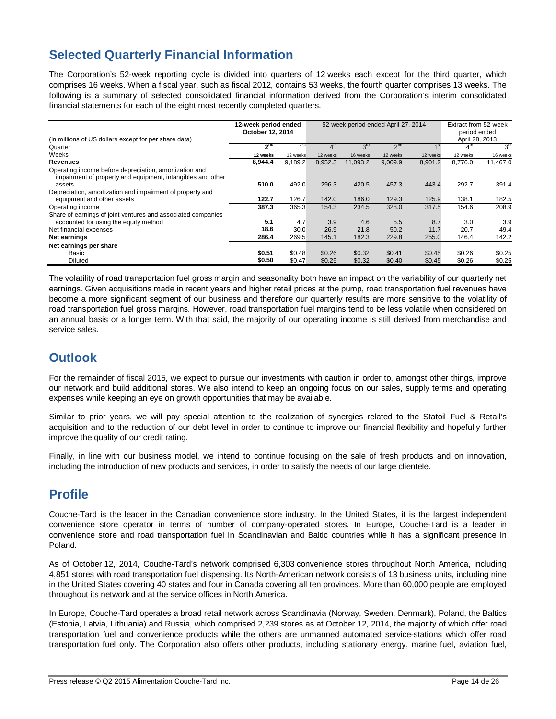# **Selected Quarterly Financial Information**

The Corporation's 52-week reporting cycle is divided into quarters of 12 weeks each except for the third quarter, which comprises 16 weeks. When a fiscal year, such as fiscal 2012, contains 53 weeks, the fourth quarter comprises 13 weeks. The following is a summary of selected consolidated financial information derived from the Corporation's interim consolidated financial statements for each of the eight most recently completed quarters.

|                                                                                                                       | 12-week period ended<br>October 12, 2014 |          | 52-week period ended April 27, 2014 |                 |          |          | Extract from 52-week<br>period ended |                 |
|-----------------------------------------------------------------------------------------------------------------------|------------------------------------------|----------|-------------------------------------|-----------------|----------|----------|--------------------------------------|-----------------|
| (In millions of US dollars except for per share data)                                                                 |                                          |          |                                     |                 |          |          | April 28, 2013                       |                 |
| Quarter                                                                                                               | 2 <sup>na</sup>                          |          |                                     | $3^{\text{rd}}$ | $2^{nd}$ |          | $4^{\text{th}}$                      | 3 <sup>rd</sup> |
| Weeks                                                                                                                 | 12 weeks                                 | 12 weeks | 12 weeks                            | 16 weeks        | 12 weeks | 12 weeks | 12 weeks                             | 16 weeks        |
| <b>Revenues</b>                                                                                                       | 8,944.4                                  | 9,189.2  | 8,952.3                             | 11,093.2        | 9,009.9  | 8,901.2  | 8,776.0                              | 11,467.0        |
| Operating income before depreciation, amortization and<br>impairment of property and equipment, intangibles and other | 510.0                                    |          |                                     |                 |          |          |                                      |                 |
| assets<br>Depreciation, amortization and impairment of property and                                                   |                                          | 492.0    | 296.3                               | 420.5           | 457.3    | 443.4    | 292.7                                | 391.4           |
| equipment and other assets                                                                                            | 122.7                                    | 126.7    | 142.0                               | 186.0           | 129.3    | 125.9    | 138.1                                | 182.5           |
| Operating income                                                                                                      | 387.3                                    | 365.3    | 154.3                               | 234.5           | 328.0    | 317.5    | 154.6                                | 208.9           |
| Share of earnings of joint ventures and associated companies<br>accounted for using the equity method                 | 5.1                                      | 4.7      | 3.9                                 | 4.6             | 5.5      | 8.7      | 3.0                                  | 3.9             |
| Net financial expenses                                                                                                | 18.6                                     | 30.0     | 26.9                                | 21.8            | 50.2     | 11.7     | 20.7                                 | 49.4            |
| Net earnings                                                                                                          | 286.4                                    | 269.5    | 145.1                               | 182.3           | 229.8    | 255.0    | 146.4                                | 142.2           |
| Net earnings per share                                                                                                |                                          |          |                                     |                 |          |          |                                      |                 |
| Basic                                                                                                                 | \$0.51                                   | \$0.48   | \$0.26                              | \$0.32          | \$0.41   | \$0.45   | \$0.26                               | \$0.25          |
| <b>Diluted</b>                                                                                                        | \$0.50                                   | \$0.47   | \$0.25                              | \$0.32          | \$0.40   | \$0.45   | \$0.26                               | \$0.25          |

The volatility of road transportation fuel gross margin and seasonality both have an impact on the variability of our quarterly net earnings. Given acquisitions made in recent years and higher retail prices at the pump, road transportation fuel revenues have become a more significant segment of our business and therefore our quarterly results are more sensitive to the volatility of road transportation fuel gross margins. However, road transportation fuel margins tend to be less volatile when considered on an annual basis or a longer term. With that said, the majority of our operating income is still derived from merchandise and service sales.

# **Outlook**

For the remainder of fiscal 2015, we expect to pursue our investments with caution in order to, amongst other things, improve our network and build additional stores. We also intend to keep an ongoing focus on our sales, supply terms and operating expenses while keeping an eye on growth opportunities that may be available.

Similar to prior years, we will pay special attention to the realization of synergies related to the Statoil Fuel & Retail's acquisition and to the reduction of our debt level in order to continue to improve our financial flexibility and hopefully further improve the quality of our credit rating.

Finally, in line with our business model, we intend to continue focusing on the sale of fresh products and on innovation, including the introduction of new products and services, in order to satisfy the needs of our large clientele.

# **Profile**

Couche-Tard is the leader in the Canadian convenience store industry. In the United States, it is the largest independent convenience store operator in terms of number of company-operated stores. In Europe, Couche-Tard is a leader in convenience store and road transportation fuel in Scandinavian and Baltic countries while it has a significant presence in Poland.

As of October 12, 2014, Couche-Tard's network comprised 6,303 convenience stores throughout North America, including 4,851 stores with road transportation fuel dispensing. Its North-American network consists of 13 business units, including nine in the United States covering 40 states and four in Canada covering all ten provinces. More than 60,000 people are employed throughout its network and at the service offices in North America.

In Europe, Couche-Tard operates a broad retail network across Scandinavia (Norway, Sweden, Denmark), Poland, the Baltics (Estonia, Latvia, Lithuania) and Russia, which comprised 2,239 stores as at October 12, 2014, the majority of which offer road transportation fuel and convenience products while the others are unmanned automated service-stations which offer road transportation fuel only. The Corporation also offers other products, including stationary energy, marine fuel, aviation fuel,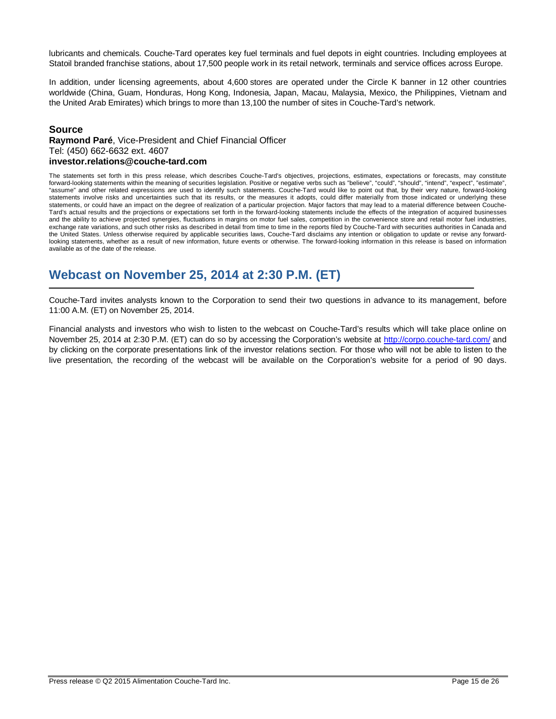lubricants and chemicals. Couche-Tard operates key fuel terminals and fuel depots in eight countries. Including employees at Statoil branded franchise stations, about 17,500 people work in its retail network, terminals and service offices across Europe.

In addition, under licensing agreements, about 4,600 stores are operated under the Circle K banner in 12 other countries worldwide (China, Guam, Honduras, Hong Kong, Indonesia, Japan, Macau, Malaysia, Mexico, the Philippines, Vietnam and the United Arab Emirates) which brings to more than 13,100 the number of sites in Couche-Tard's network.

## **Source**

### **Raymond Paré**, Vice-President and Chief Financial Officer Tel: (450) 662-6632 ext. 4607 **investor.relations@couche-tard.com**

The statements set forth in this press release, which describes Couche-Tard's objectives, projections, estimates, expectations or forecasts, may constitute forward-looking statements within the meaning of securities legislation. Positive or negative verbs such as "believe", "could", "should", "intend", "expect", "estimate", "assume" and other related expressions are used to identify such statements. Couche-Tard would like to point out that, by their very nature, forward-looking statements involve risks and uncertainties such that its results, or the measures it adopts, could differ materially from those indicated or underlying these statements, or could have an impact on the degree of realization of a particular projection. Major factors that may lead to a material difference between Couche-Tard's actual results and the projections or expectations set forth in the forward-looking statements include the effects of the integration of acquired businesses and the ability to achieve projected synergies, fluctuations in margins on motor fuel sales, competition in the convenience store and retail motor fuel industries, exchange rate variations, and such other risks as described in detail from time to time in the reports filed by Couche-Tard with securities authorities in Canada and the United States. Unless otherwise required by applicable securities laws, Couche-Tard disclaims any intention or obligation to update or revise any forwardlooking statements, whether as a result of new information, future events or otherwise. The forward-looking information in this release is based on information available as of the date of the release.

# **Webcast on November 25, 2014 at 2:30 P.M. (ET)**

Couche-Tard invites analysts known to the Corporation to send their two questions in advance to its management, before 11:00 A.M. (ET) on November 25, 2014.

Financial analysts and investors who wish to listen to the webcast on Couche-Tard's results which will take place online on November 25, 2014 at 2:30 P.M. (ET) can do so by accessing the Corporation's website at http://corpo.couche-tard.com/ and by clicking on the corporate presentations link of the investor relations section. For those who will not be able to listen to the live presentation, the recording of the webcast will be available on the Corporation's website for a period of 90 days.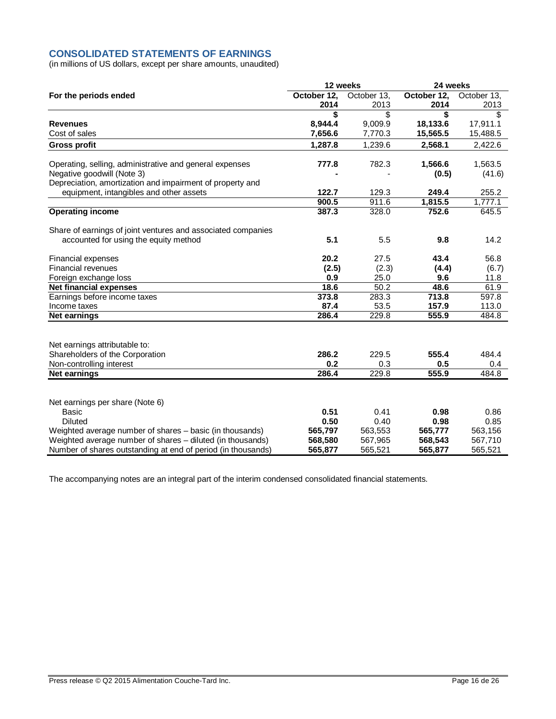## **CONSOLIDATED STATEMENTS OF EARNINGS**

(in millions of US dollars, except per share amounts, unaudited)

|                                                                                                       |             | 12 weeks    | 24 weeks         |                   |
|-------------------------------------------------------------------------------------------------------|-------------|-------------|------------------|-------------------|
| For the periods ended                                                                                 | October 12, | October 13, | October 12,      | October 13,       |
|                                                                                                       | 2014        | 2013        | 2014             | 2013              |
|                                                                                                       | \$          | \$          | \$               | \$                |
| <b>Revenues</b>                                                                                       | 8,944.4     | 9,009.9     | 18,133.6         | 17,911.1          |
| Cost of sales                                                                                         | 7,656.6     | 7,770.3     | 15,565.5         | 15,488.5          |
| <b>Gross profit</b>                                                                                   | 1,287.8     | 1,239.6     | 2,568.1          | 2,422.6           |
| Operating, selling, administrative and general expenses<br>Negative goodwill (Note 3)                 | 777.8       | 782.3       | 1,566.6<br>(0.5) | 1,563.5<br>(41.6) |
| Depreciation, amortization and impairment of property and                                             |             |             |                  |                   |
| equipment, intangibles and other assets                                                               | 122.7       | 129.3       | 249.4            | 255.2             |
|                                                                                                       | 900.5       | 911.6       | 1,815.5          | 1,777.1           |
| <b>Operating income</b>                                                                               | 387.3       | 328.0       | 752.6            | 645.5             |
| Share of earnings of joint ventures and associated companies<br>accounted for using the equity method | 5.1         | 5.5         | 9.8              | 14.2              |
| Financial expenses                                                                                    | 20.2        | 27.5        | 43.4             | 56.8              |
| Financial revenues                                                                                    | (2.5)       | (2.3)       | (4.4)            | (6.7)             |
| Foreign exchange loss                                                                                 | 0.9         | 25.0        | 9.6              | 11.8              |
| <b>Net financial expenses</b>                                                                         | 18.6        | 50.2        | 48.6             | 61.9              |
| Earnings before income taxes                                                                          | 373.8       | 283.3       | 713.8            | 597.8             |
| Income taxes                                                                                          | 87.4        | 53.5        | 157.9            | 113.0             |
| <b>Net earnings</b>                                                                                   | 286.4       | 229.8       | 555.9            | 484.8             |
| Net earnings attributable to:                                                                         |             |             |                  |                   |
| Shareholders of the Corporation                                                                       | 286.2       | 229.5       | 555.4            | 484.4             |
| Non-controlling interest                                                                              | 0.2         | 0.3         | 0.5              | 0.4               |
| <b>Net earnings</b>                                                                                   | 286.4       | 229.8       | 555.9            | 484.8             |
|                                                                                                       |             |             |                  |                   |
| Net earnings per share (Note 6)                                                                       |             |             |                  |                   |
| <b>Basic</b>                                                                                          | 0.51        | 0.41        | 0.98             | 0.86              |
| <b>Diluted</b>                                                                                        | 0.50        | 0.40        | 0.98             | 0.85              |
| Weighted average number of shares - basic (in thousands)                                              | 565,797     | 563,553     | 565,777          | 563,156           |
| Weighted average number of shares - diluted (in thousands)                                            | 568,580     | 567,965     | 568,543          | 567,710           |
| Number of shares outstanding at end of period (in thousands)                                          | 565,877     | 565,521     | 565,877          | 565,521           |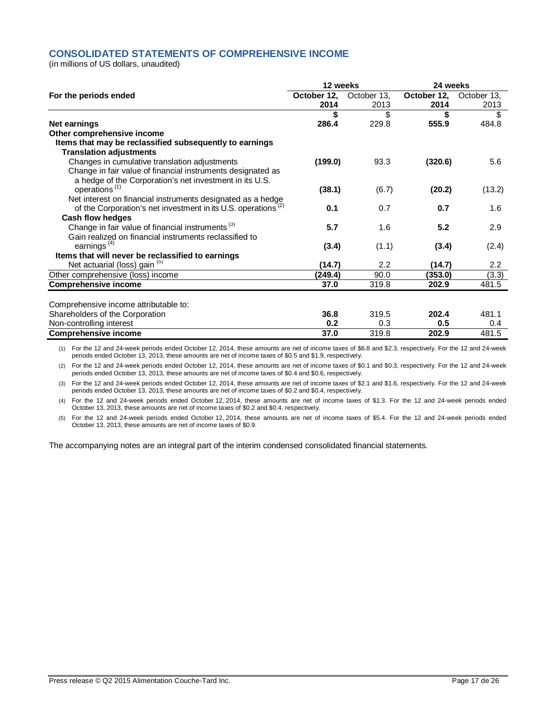## **CONSOLIDATED STATEMENTS OF COMPREHENSIVE INCOME**

(in millions of US dollars, unaudited)

|                                                                           | 12 weeks    |             | 24 weeks    |             |
|---------------------------------------------------------------------------|-------------|-------------|-------------|-------------|
| For the periods ended                                                     | October 12, | October 13, | October 12, | October 13, |
|                                                                           | 2014        | 2013        | 2014        | 2013        |
|                                                                           | \$          | \$          | \$          | \$          |
| Net earnings                                                              | 286.4       | 229.8       | 555.9       | 484.8       |
| Other comprehensive income                                                |             |             |             |             |
| Items that may be reclassified subsequently to earnings                   |             |             |             |             |
| <b>Translation adjustments</b>                                            |             |             |             |             |
| Changes in cumulative translation adjustments                             | (199.0)     | 93.3        | (320.6)     | 5.6         |
| Change in fair value of financial instruments designated as               |             |             |             |             |
| a hedge of the Corporation's net investment in its U.S.                   |             |             |             |             |
| operations <sup>(1)</sup>                                                 | (38.1)      | (6.7)       | (20.2)      | (13.2)      |
| Net interest on financial instruments designated as a hedge               |             |             |             |             |
| of the Corporation's net investment in its U.S. operations <sup>(2)</sup> | 0.1         | 0.7         | 0.7         | 1.6         |
| <b>Cash flow hedges</b>                                                   |             |             |             |             |
| Change in fair value of financial instruments <sup>(3)</sup>              | 5.7         | 1.6         | 5.2         | 2.9         |
| Gain realized on financial instruments reclassified to                    |             |             |             |             |
| earnings <sup>(4)</sup>                                                   | (3.4)       | (1.1)       | (3.4)       | (2.4)       |
| Items that will never be reclassified to earnings                         |             |             |             |             |
| Net actuarial (loss) gain (5)                                             | (14.7)      | 2.2         | (14.7)      | 2.2         |
| Other comprehensive (loss) income                                         | (249.4)     | 90.0        | (353.0)     | (3.3)       |
| <b>Comprehensive income</b>                                               | 37.0        | 319.8       | 202.9       | 481.5       |
|                                                                           |             |             |             |             |
| Comprehensive income attributable to:                                     |             |             |             |             |
| Shareholders of the Corporation                                           | 36.8        | 319.5       | 202.4       | 481.1       |
| Non-controlling interest                                                  | 0.2         | 0.3         | 0.5         | 0.4         |
| <b>Comprehensive income</b>                                               | 37.0        | 319.8       | 202.9       | 481.5       |
|                                                                           |             |             |             |             |

(1) For the 12 and 24-week periods ended October 12, 2014, these amounts are net of income taxes of \$6.8 and \$2.3, respectively. For the 12 and 24-week periods ended October 13, 2013, these amounts are net of income taxes of \$0.5 and \$1.9, respectively.

(2) For the 12 and 24-week periods ended October 12, 2014, these amounts are net of income taxes of \$0.1 and \$0.3, respectively. For the 12 and 24-week periods ended October 13, 2013, these amounts are net of income taxes of \$0.4 and \$0.6, respectively.

(3) For the 12 and 24-week periods ended October 12, 2014, these amounts are net of income taxes of \$2.1 and \$1.6, respectively. For the 12 and 24-week periods ended October 13, 2013, these amounts are net of income taxes of \$0.2 and \$0.4, respectively.

(4) For the 12 and 24-week periods ended October 12, 2014, these amounts are net of income taxes of \$1.3. For the 12 and 24-week periods ended October 13, 2013, these amounts are net of income taxes of \$0.2 and \$0.4, respectively.

(5) For the 12 and 24-week periods ended October 12, 2014, these amounts are net of income taxes of \$5.4. For the 12 and 24-week periods ended October 13, 2013, these amounts are net of income taxes of \$0.9.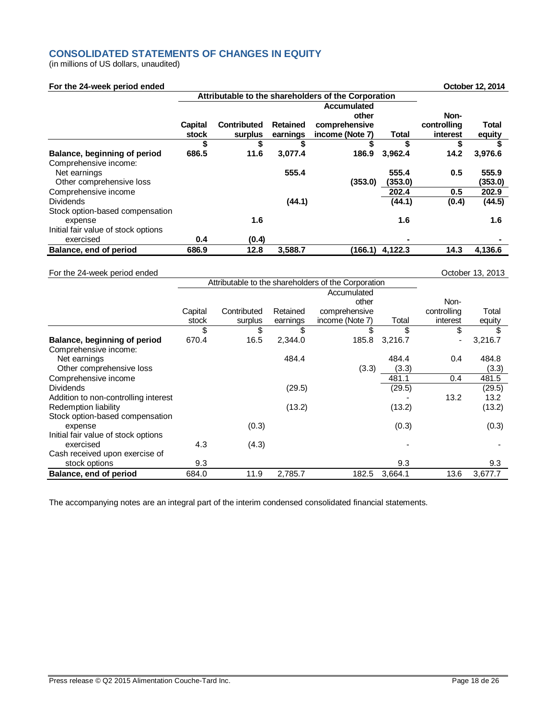## **CONSOLIDATED STATEMENTS OF CHANGES IN EQUITY**

(in millions of US dollars, unaudited)

| For the 24-week period ended               |                  |                                                     | October 12, 2014            |                                                          |         |                                 |                 |
|--------------------------------------------|------------------|-----------------------------------------------------|-----------------------------|----------------------------------------------------------|---------|---------------------------------|-----------------|
|                                            |                  | Attributable to the shareholders of the Corporation |                             |                                                          |         |                                 |                 |
|                                            | Capital<br>stock | <b>Contributed</b><br>surplus                       | <b>Retained</b><br>earnings | Accumulated<br>other<br>comprehensive<br>income (Note 7) | Total   | Non-<br>controlling<br>interest | Total<br>equity |
|                                            |                  | \$                                                  |                             | S                                                        |         | S                               |                 |
| Balance, beginning of period               | 686.5            | 11.6                                                | 3,077.4                     | 186.9                                                    | 3,962.4 | 14.2                            | 3,976.6         |
| Comprehensive income:                      |                  |                                                     |                             |                                                          |         |                                 |                 |
| Net earnings                               |                  |                                                     | 555.4                       |                                                          | 555.4   | 0.5                             | 555.9           |
| Other comprehensive loss                   |                  |                                                     |                             | (353.0)                                                  | (353.0) |                                 | (353.0)         |
| Comprehensive income                       |                  |                                                     |                             |                                                          | 202.4   | 0.5                             | 202.9           |
| <b>Dividends</b>                           |                  |                                                     | (44.1)                      |                                                          | (44.1)  | (0.4)                           | (44.5)          |
| Stock option-based compensation<br>expense |                  | 1.6                                                 |                             |                                                          | 1.6     |                                 | 1.6             |
| Initial fair value of stock options        |                  |                                                     |                             |                                                          |         |                                 |                 |
| exercised                                  | 0.4              | (0.4)                                               |                             |                                                          |         |                                 |                 |
| Balance, end of period                     | 686.9            | 12.8                                                | 3,588.7                     | (166.1)                                                  | 4,122.3 | 14.3                            | 4,136.6         |

For the 24-week period ended<br>Attributable to the shareholders of the Corporation October 13, 2013

|                                      |         | Attributable to the shareholders of the Corporation |          |                 |         |             |         |
|--------------------------------------|---------|-----------------------------------------------------|----------|-----------------|---------|-------------|---------|
|                                      |         |                                                     |          | Accumulated     |         |             |         |
|                                      |         |                                                     |          | other           |         | Non-        |         |
|                                      | Capital | Contributed                                         | Retained | comprehensive   |         | controlling | Total   |
|                                      | stock   | surplus                                             | earnings | income (Note 7) | Total   | interest    | equity  |
|                                      | \$      | \$                                                  | \$       | \$              | \$      | \$          |         |
| Balance, beginning of period         | 670.4   | 16.5                                                | 2,344.0  | 185.8           | 3,216.7 |             | 3,216.7 |
| Comprehensive income:                |         |                                                     |          |                 |         |             |         |
| Net earnings                         |         |                                                     | 484.4    |                 | 484.4   | 0.4         | 484.8   |
| Other comprehensive loss             |         |                                                     |          | (3.3)           | (3.3)   |             | (3.3)   |
| Comprehensive income                 |         |                                                     |          |                 | 481.1   | 0.4         | 481.5   |
| <b>Dividends</b>                     |         |                                                     | (29.5)   |                 | (29.5)  |             | (29.5)  |
| Addition to non-controlling interest |         |                                                     |          |                 |         | 13.2        | 13.2    |
| Redemption liability                 |         |                                                     | (13.2)   |                 | (13.2)  |             | (13.2)  |
| Stock option-based compensation      |         |                                                     |          |                 |         |             |         |
| expense                              |         | (0.3)                                               |          |                 | (0.3)   |             | (0.3)   |
| Initial fair value of stock options  |         |                                                     |          |                 |         |             |         |
| exercised                            | 4.3     | (4.3)                                               |          |                 |         |             |         |
| Cash received upon exercise of       |         |                                                     |          |                 |         |             |         |
| stock options                        | 9.3     |                                                     |          |                 | 9.3     |             | 9.3     |
| Balance, end of period               | 684.0   | 11.9                                                | 2,785.7  | 182.5           | 3,664.1 | 13.6        | 3,677.7 |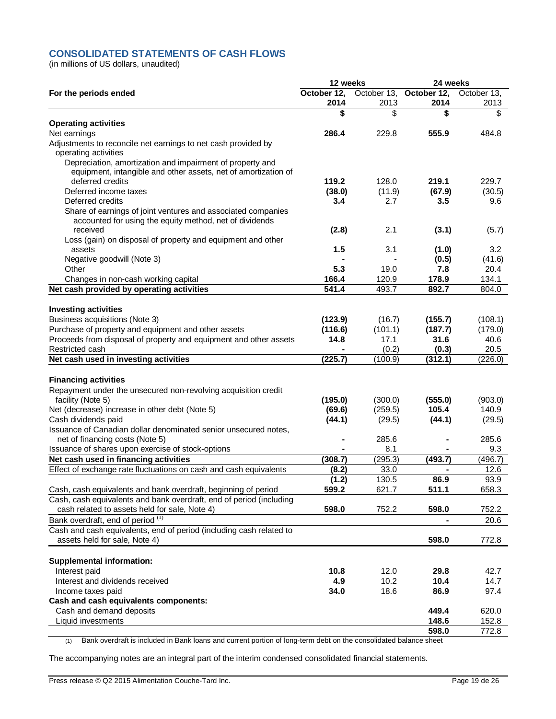## **CONSOLIDATED STATEMENTS OF CASH FLOWS**

(in millions of US dollars, unaudited)

|                                                                     | 12 weeks    |             | 24 weeks    |             |
|---------------------------------------------------------------------|-------------|-------------|-------------|-------------|
| For the periods ended                                               | October 12, | October 13, | October 12, | October 13, |
|                                                                     | 2014        | 2013        | 2014        | 2013        |
|                                                                     | \$          | \$          | \$          | \$          |
| <b>Operating activities</b>                                         |             |             |             |             |
| Net earnings                                                        | 286.4       | 229.8       | 555.9       | 484.8       |
| Adjustments to reconcile net earnings to net cash provided by       |             |             |             |             |
| operating activities                                                |             |             |             |             |
| Depreciation, amortization and impairment of property and           |             |             |             |             |
| equipment, intangible and other assets, net of amortization of      |             |             |             |             |
| deferred credits                                                    | 119.2       | 128.0       | 219.1       | 229.7       |
| Deferred income taxes                                               | (38.0)      | (11.9)      | (67.9)      | (30.5)      |
| Deferred credits                                                    | 3.4         | 2.7         | 3.5         | 9.6         |
| Share of earnings of joint ventures and associated companies        |             |             |             |             |
| accounted for using the equity method, net of dividends             |             |             |             |             |
| received                                                            | (2.8)       | 2.1         | (3.1)       | (5.7)       |
| Loss (gain) on disposal of property and equipment and other         |             |             |             |             |
| assets                                                              | $1.5$       | 3.1         | (1.0)       | 3.2         |
|                                                                     |             |             |             |             |
| Negative goodwill (Note 3)                                          |             |             | (0.5)       | (41.6)      |
| Other                                                               | 5.3         | 19.0        | 7.8         | 20.4        |
| Changes in non-cash working capital                                 | 166.4       | 120.9       | 178.9       | 134.1       |
| Net cash provided by operating activities                           | 541.4       | 493.7       | 892.7       | 804.0       |
|                                                                     |             |             |             |             |
| <b>Investing activities</b>                                         |             |             |             |             |
| Business acquisitions (Note 3)                                      | (123.9)     | (16.7)      | (155.7)     | (108.1)     |
| Purchase of property and equipment and other assets                 | (116.6)     | (101.1)     | (187.7)     | (179.0)     |
| Proceeds from disposal of property and equipment and other assets   | 14.8        | 17.1        | 31.6        | 40.6        |
| Restricted cash                                                     |             | (0.2)       | (0.3)       | 20.5        |
| Net cash used in investing activities                               | (225.7)     | (100.9)     | (312.1)     | (226.0)     |
|                                                                     |             |             |             |             |
| <b>Financing activities</b>                                         |             |             |             |             |
| Repayment under the unsecured non-revolving acquisition credit      |             |             |             |             |
| facility (Note 5)                                                   | (195.0)     | (300.0)     | (555.0)     | (903.0)     |
| Net (decrease) increase in other debt (Note 5)                      | (69.6)      | (259.5)     | 105.4       | 140.9       |
| Cash dividends paid                                                 |             |             |             |             |
|                                                                     | (44.1)      | (29.5)      | (44.1)      | (29.5)      |
| Issuance of Canadian dollar denominated senior unsecured notes,     |             |             |             |             |
| net of financing costs (Note 5)                                     |             | 285.6       |             | 285.6       |
| Issuance of shares upon exercise of stock-options                   |             | 8.1         |             | 9.3         |
| Net cash used in financing activities                               | (308.7)     | (295.3)     | (493.7)     | (496.7)     |
| Effect of exchange rate fluctuations on cash and cash equivalents   | (8.2)       | 33.0        |             | 12.6        |
|                                                                     | (1.2)       | 130.5       | 86.9        | 93.9        |
| Cash, cash equivalents and bank overdraft, beginning of period      | 599.2       | 621.7       | 511.1       | 658.3       |
| Cash, cash equivalents and bank overdraft, end of period (including |             |             |             |             |
| cash related to assets held for sale, Note 4)                       | 598.0       | 752.2       | 598.0       | 752.2       |
| Bank overdraft, end of period (1)                                   |             |             |             | 20.6        |
| Cash and cash equivalents, end of period (including cash related to |             |             |             |             |
| assets held for sale, Note 4)                                       |             |             | 598.0       | 772.8       |
|                                                                     |             |             |             |             |
|                                                                     |             |             |             |             |
| <b>Supplemental information:</b>                                    |             |             |             |             |
| Interest paid                                                       | 10.8        | 12.0        | 29.8        | 42.7        |
| Interest and dividends received                                     | 4.9         | 10.2        | 10.4        | 14.7        |
| Income taxes paid                                                   | 34.0        | 18.6        | 86.9        | 97.4        |
| Cash and cash equivalents components:                               |             |             |             |             |
| Cash and demand deposits                                            |             |             | 449.4       | 620.0       |
| Liquid investments                                                  |             |             | 148.6       | 152.8       |
|                                                                     |             |             | 598.0       | 772.8       |

(1) Bank overdraft is included in Bank loans and current portion of long-term debt on the consolidated balance sheet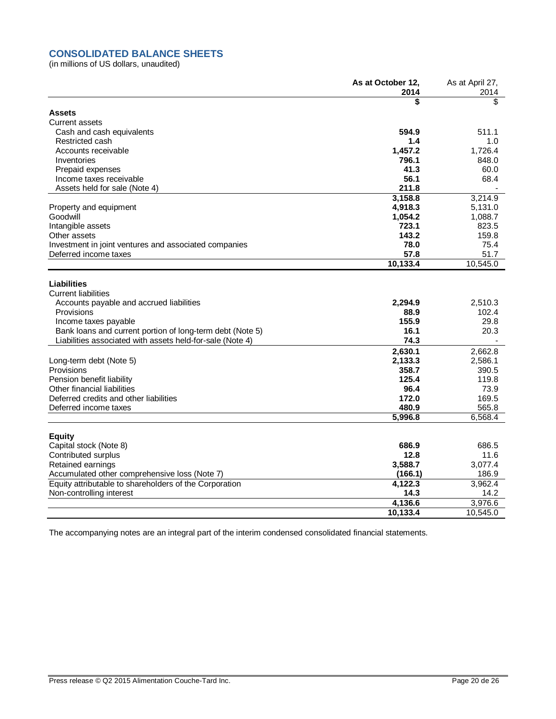# **CONSOLIDATED BALANCE SHEETS**

(in millions of US dollars, unaudited)

|                                                           | As at October 12,<br>2014 | As at April 27,<br>2014 |
|-----------------------------------------------------------|---------------------------|-------------------------|
|                                                           | \$                        | \$                      |
| <b>Assets</b>                                             |                           |                         |
| <b>Current assets</b>                                     |                           |                         |
| Cash and cash equivalents                                 | 594.9                     | 511.1                   |
| Restricted cash                                           | 1.4                       | 1.0                     |
| Accounts receivable                                       | 1.457.2                   | 1,726.4                 |
| Inventories                                               | 796.1                     | 848.0                   |
| Prepaid expenses                                          | 41.3                      | 60.0                    |
| Income taxes receivable                                   | 56.1                      | 68.4                    |
| Assets held for sale (Note 4)                             | 211.8                     |                         |
|                                                           | 3,158.8                   | 3,214.9                 |
| Property and equipment                                    | 4,918.3                   | 5,131.0                 |
| Goodwill                                                  | 1,054.2                   | 1,088.7                 |
| Intangible assets                                         | 723.1                     | 823.5                   |
| Other assets                                              | 143.2                     | 159.8                   |
| Investment in joint ventures and associated companies     | 78.0                      | 75.4                    |
| Deferred income taxes                                     | 57.8                      | 51.7                    |
|                                                           | 10,133.4                  | 10,545.0                |
| <b>Liabilities</b><br><b>Current liabilities</b>          |                           |                         |
| Accounts payable and accrued liabilities                  | 2,294.9                   | 2,510.3                 |
| Provisions                                                | 88.9                      | 102.4                   |
| Income taxes payable                                      | 155.9                     | 29.8                    |
| Bank loans and current portion of long-term debt (Note 5) | 16.1                      | 20.3                    |
| Liabilities associated with assets held-for-sale (Note 4) | 74.3                      |                         |
|                                                           | 2,630.1                   | 2,662.8                 |
| Long-term debt (Note 5)                                   | 2,133.3                   | 2,586.1                 |
| Provisions                                                | 358.7                     | 390.5                   |
| Pension benefit liability                                 | 125.4                     | 119.8                   |
| Other financial liabilities                               | 96.4                      | 73.9                    |
| Deferred credits and other liabilities                    | 172.0                     | 169.5                   |
| Deferred income taxes                                     | 480.9                     | 565.8                   |
|                                                           | 5,996.8                   | 6,568.4                 |
| <b>Equity</b>                                             |                           |                         |
| Capital stock (Note 8)                                    | 686.9                     | 686.5                   |
| Contributed surplus                                       | 12.8                      | 11.6                    |
| Retained earnings                                         | 3,588.7                   | 3,077.4                 |
| Accumulated other comprehensive loss (Note 7)             | (166.1)                   | 186.9                   |
| Equity attributable to shareholders of the Corporation    | 4,122.3                   | 3,962.4                 |
| Non-controlling interest                                  | 14.3                      | 14.2                    |
|                                                           | 4,136.6                   | 3,976.6                 |
|                                                           | 10, 133.4                 | 10,545.0                |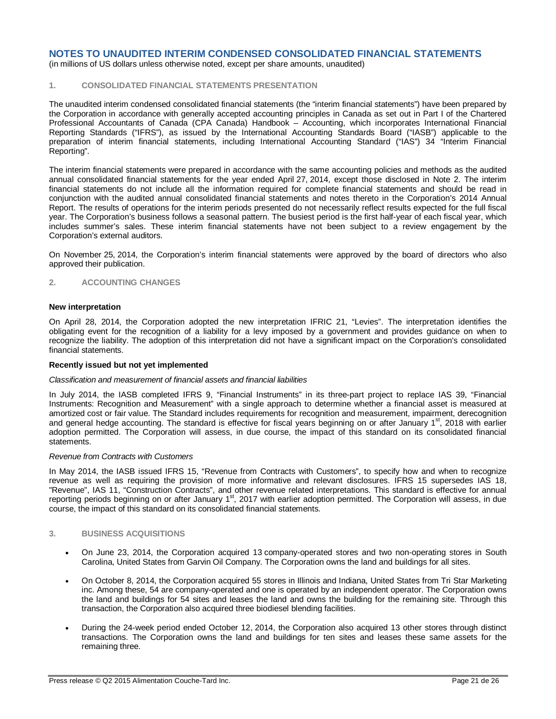(in millions of US dollars unless otherwise noted, except per share amounts, unaudited)

### **1. CONSOLIDATED FINANCIAL STATEMENTS PRESENTATION**

The unaudited interim condensed consolidated financial statements (the "interim financial statements") have been prepared by the Corporation in accordance with generally accepted accounting principles in Canada as set out in Part I of the Chartered Professional Accountants of Canada (CPA Canada) Handbook – Accounting, which incorporates International Financial Reporting Standards ("IFRS"), as issued by the International Accounting Standards Board ("IASB") applicable to the preparation of interim financial statements, including International Accounting Standard ("IAS") 34 "Interim Financial Reporting".

The interim financial statements were prepared in accordance with the same accounting policies and methods as the audited annual consolidated financial statements for the year ended April 27, 2014, except those disclosed in Note 2. The interim financial statements do not include all the information required for complete financial statements and should be read in conjunction with the audited annual consolidated financial statements and notes thereto in the Corporation's 2014 Annual Report. The results of operations for the interim periods presented do not necessarily reflect results expected for the full fiscal year. The Corporation's business follows a seasonal pattern. The busiest period is the first half-year of each fiscal year, which includes summer's sales. These interim financial statements have not been subject to a review engagement by the Corporation's external auditors.

On November 25, 2014, the Corporation's interim financial statements were approved by the board of directors who also approved their publication.

#### **2. ACCOUNTING CHANGES**

#### **New interpretation**

On April 28, 2014, the Corporation adopted the new interpretation IFRIC 21, "Levies". The interpretation identifies the obligating event for the recognition of a liability for a levy imposed by a government and provides guidance on when to recognize the liability. The adoption of this interpretation did not have a significant impact on the Corporation's consolidated financial statements.

### **Recently issued but not yet implemented**

### *Classification and measurement of financial assets and financial liabilities*

In July 2014, the IASB completed IFRS 9, "Financial Instruments" in its three-part project to replace IAS 39, "Financial Instruments: Recognition and Measurement" with a single approach to determine whether a financial asset is measured at amortized cost or fair value. The Standard includes requirements for recognition and measurement, impairment, derecognition and general hedge accounting. The standard is effective for fiscal years beginning on or after January 1<sup>st</sup>, 2018 with earlier adoption permitted. The Corporation will assess, in due course, the impact of this standard on its consolidated financial statements.

#### *Revenue from Contracts with Customers*

In May 2014, the IASB issued IFRS 15, "Revenue from Contracts with Customers", to specify how and when to recognize revenue as well as requiring the provision of more informative and relevant disclosures. IFRS 15 supersedes IAS 18, "Revenue", IAS 11, "Construction Contracts", and other revenue related interpretations. This standard is effective for annual reporting periods beginning on or after January 1<sup>st</sup>, 2017 with earlier adoption permitted. The Corporation will assess, in due course, the impact of this standard on its consolidated financial statements.

### **3. BUSINESS ACQUISITIONS**

- On June 23, 2014, the Corporation acquired 13 company-operated stores and two non-operating stores in South Carolina, United States from Garvin Oil Company. The Corporation owns the land and buildings for all sites.
- On October 8, 2014, the Corporation acquired 55 stores in Illinois and Indiana, United States from Tri Star Marketing inc. Among these, 54 are company-operated and one is operated by an independent operator. The Corporation owns the land and buildings for 54 sites and leases the land and owns the building for the remaining site. Through this transaction, the Corporation also acquired three biodiesel blending facilities.
- During the 24-week period ended October 12, 2014, the Corporation also acquired 13 other stores through distinct transactions. The Corporation owns the land and buildings for ten sites and leases these same assets for the remaining three.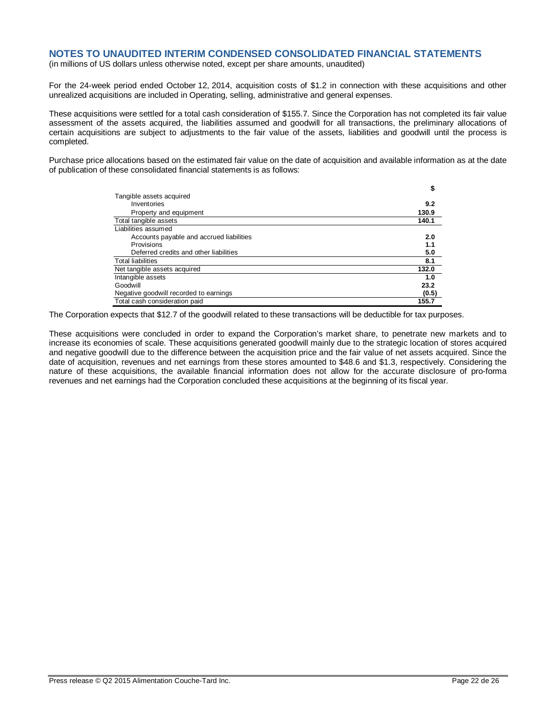(in millions of US dollars unless otherwise noted, except per share amounts, unaudited)

For the 24-week period ended October 12, 2014, acquisition costs of \$1.2 in connection with these acquisitions and other unrealized acquisitions are included in Operating, selling, administrative and general expenses.

These acquisitions were settled for a total cash consideration of \$155.7. Since the Corporation has not completed its fair value assessment of the assets acquired, the liabilities assumed and goodwill for all transactions, the preliminary allocations of certain acquisitions are subject to adjustments to the fair value of the assets, liabilities and goodwill until the process is completed.

Purchase price allocations based on the estimated fair value on the date of acquisition and available information as at the date of publication of these consolidated financial statements is as follows:

|                                          | \$    |
|------------------------------------------|-------|
| Tangible assets acquired                 |       |
| Inventories                              | 9.2   |
| Property and equipment                   | 130.9 |
| Total tangible assets                    | 140.1 |
| Liabilities assumed                      |       |
| Accounts payable and accrued liabilities | 2.0   |
| Provisions                               | 1.1   |
| Deferred credits and other liabilities   | 5.0   |
| <b>Total liabilities</b>                 | 8.1   |
| Net tangible assets acquired             | 132.0 |
| Intangible assets                        | 1.0   |
| Goodwill                                 | 23.2  |
| Negative goodwill recorded to earnings   | (0.5) |
| Total cash consideration paid            | 155.7 |

The Corporation expects that \$12.7 of the goodwill related to these transactions will be deductible for tax purposes.

These acquisitions were concluded in order to expand the Corporation's market share, to penetrate new markets and to increase its economies of scale. These acquisitions generated goodwill mainly due to the strategic location of stores acquired and negative goodwill due to the difference between the acquisition price and the fair value of net assets acquired. Since the date of acquisition, revenues and net earnings from these stores amounted to \$48.6 and \$1.3, respectively. Considering the nature of these acquisitions, the available financial information does not allow for the accurate disclosure of pro-forma revenues and net earnings had the Corporation concluded these acquisitions at the beginning of its fiscal year.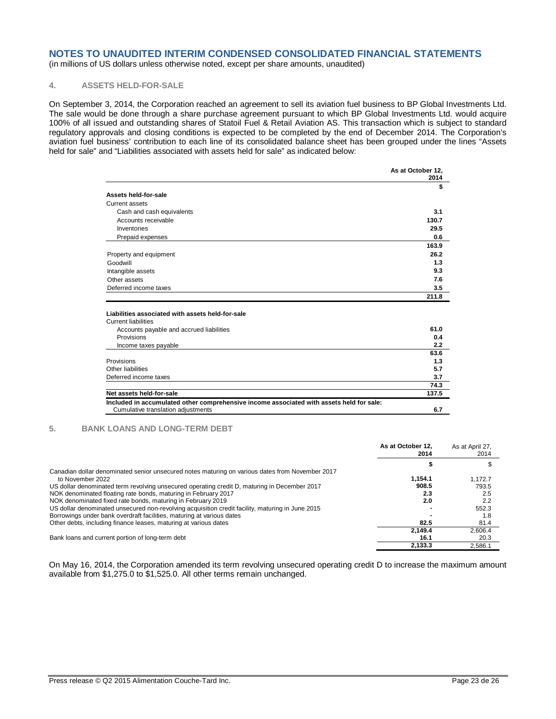(in millions of US dollars unless otherwise noted, except per share amounts, unaudited)

### **4. ASSETS HELD-FOR-SALE**

On September 3, 2014, the Corporation reached an agreement to sell its aviation fuel business to BP Global Investments Ltd. The sale would be done through a share purchase agreement pursuant to which BP Global Investments Ltd. would acquire 100% of all issued and outstanding shares of Statoil Fuel & Retail Aviation AS. This transaction which is subject to standard regulatory approvals and closing conditions is expected to be completed by the end of December 2014. The Corporation's aviation fuel business' contribution to each line of its consolidated balance sheet has been grouped under the lines "Assets held for sale" and "Liabilities associated with assets held for sale" as indicated below:

|                                                                                          | As at October 12, |
|------------------------------------------------------------------------------------------|-------------------|
|                                                                                          | 2014              |
|                                                                                          | \$                |
| Assets held-for-sale                                                                     |                   |
| Current assets                                                                           |                   |
| Cash and cash equivalents                                                                | 3.1               |
| Accounts receivable                                                                      | 130.7             |
| Inventories                                                                              | 29.5              |
| Prepaid expenses                                                                         | 0.6               |
|                                                                                          | 163.9             |
| Property and equipment                                                                   | 26.2              |
| Goodwill                                                                                 | 1.3               |
| Intangible assets                                                                        | 9.3               |
| Other assets                                                                             | 7.6               |
| Deferred income taxes                                                                    | 3.5               |
|                                                                                          | 211.8             |
|                                                                                          |                   |
| Liabilities associated with assets held-for-sale                                         |                   |
| <b>Current liabilities</b>                                                               |                   |
| Accounts payable and accrued liabilities                                                 | 61.0              |
| Provisions                                                                               | 0.4               |
| Income taxes payable                                                                     | 2.2               |
|                                                                                          | 63.6              |
| Provisions                                                                               | 1.3               |
| Other liabilities                                                                        | 5.7               |
| Deferred income taxes                                                                    | 3.7               |
|                                                                                          | 74.3              |
| Net assets held-for-sale                                                                 | 137.5             |
| Included in accumulated other comprehensive income associated with assets held for sale: |                   |
| Cumulative translation adiustments                                                       | 6.7               |

#### **5. BANK LOANS AND LONG-TERM DEBT**

|                                                                                                  | As at October 12. | As at April 27, |
|--------------------------------------------------------------------------------------------------|-------------------|-----------------|
|                                                                                                  | 2014              | 2014            |
|                                                                                                  |                   |                 |
| Canadian dollar denominated senior unsecured notes maturing on various dates from November 2017  |                   |                 |
| to November 2022                                                                                 | 1.154.1           | 1.172.7         |
| US dollar denominated term revolving unsecured operating credit D, maturing in December 2017     | 908.5             | 793.5           |
| NOK denominated floating rate bonds, maturing in February 2017                                   | 2.3               | 2.5             |
| NOK denominated fixed rate bonds, maturing in February 2019                                      | 2.0               | 2.2             |
| US dollar denominated unsecured non-revolving acquisition credit facility, maturing in June 2015 |                   | 552.3           |
| Borrowings under bank overdraft facilities, maturing at various dates                            |                   | 1.8             |
| Other debts, including finance leases, maturing at various dates                                 | 82.5              | 81.4            |
|                                                                                                  | 2.149.4           | 2,606.4         |
| Bank loans and current portion of long-term debt                                                 | 16.1              | 20.3            |
|                                                                                                  | 2.133.3           | 2,586.1         |

On May 16, 2014, the Corporation amended its term revolving unsecured operating credit D to increase the maximum amount available from \$1,275.0 to \$1,525.0. All other terms remain unchanged.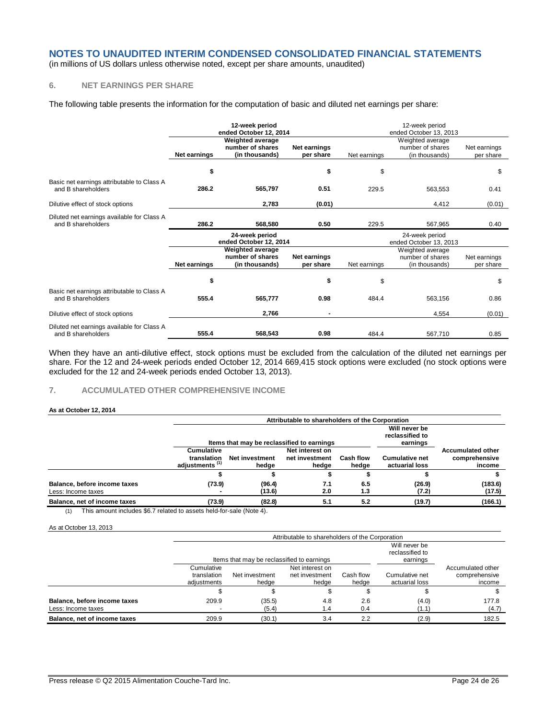(in millions of US dollars unless otherwise noted, except per share amounts, unaudited)

## **6. NET EARNINGS PER SHARE**

The following table presents the information for the computation of basic and diluted net earnings per share:

|                                                                  |              | 12-week period<br>ended October 12, 2014                      |                           | 12-week period<br>ended October 13, 2013 |                                                        |                           |  |
|------------------------------------------------------------------|--------------|---------------------------------------------------------------|---------------------------|------------------------------------------|--------------------------------------------------------|---------------------------|--|
|                                                                  | Net earnings | <b>Weighted average</b><br>number of shares<br>(in thousands) | Net earnings<br>per share | Net earnings                             | Weighted average<br>number of shares<br>(in thousands) | Net earnings<br>per share |  |
|                                                                  | \$           |                                                               | \$                        | \$                                       |                                                        | \$                        |  |
| Basic net earnings attributable to Class A<br>and B shareholders | 286.2        | 565,797                                                       | 0.51                      | 229.5                                    | 563,553                                                | 0.41                      |  |
| Dilutive effect of stock options                                 |              | 2,783                                                         | (0.01)                    |                                          | 4,412                                                  | (0.01)                    |  |
| Diluted net earnings available for Class A<br>and B shareholders | 286.2        | 568,580                                                       | 0.50                      | 229.5                                    | 567,965                                                | 0.40                      |  |
|                                                                  |              |                                                               |                           |                                          |                                                        |                           |  |
|                                                                  |              | 24-week period<br>ended October 12, 2014                      |                           |                                          | 24-week period<br>ended October 13, 2013               |                           |  |
|                                                                  | Net earnings | <b>Weighted average</b><br>number of shares<br>(in thousands) | Net earnings<br>per share | Net earnings                             | Weighted average<br>number of shares<br>(in thousands) | Net earnings<br>per share |  |
|                                                                  | \$           |                                                               | \$                        | \$                                       |                                                        | \$                        |  |
| Basic net earnings attributable to Class A<br>and B shareholders | 555.4        | 565,777                                                       | 0.98                      | 484.4                                    | 563,156                                                | 0.86                      |  |
| Dilutive effect of stock options                                 |              | 2,766                                                         | ۰                         |                                          | 4,554                                                  | (0.01)                    |  |

When they have an anti-dilutive effect, stock options must be excluded from the calculation of the diluted net earnings per share. For the 12 and 24-week periods ended October 12, 2014 669,415 stock options were excluded (no stock options were excluded for the 12 and 24-week periods ended October 13, 2013).

### **7. ACCUMULATED OTHER COMPREHENSIVE INCOME**

### **As at October 12, 2014**

|                                                    | Attributable to shareholders of the Corporation                |                                            |                                            |                                              |                                         |                                                     |  |
|----------------------------------------------------|----------------------------------------------------------------|--------------------------------------------|--------------------------------------------|----------------------------------------------|-----------------------------------------|-----------------------------------------------------|--|
|                                                    |                                                                | Items that may be reclassified to earnings |                                            | Will never be<br>reclassified to<br>earnings |                                         |                                                     |  |
|                                                    | <b>Cumulative</b><br>translation<br>adiustments <sup>(1)</sup> | Net investment<br>hedge                    | Net interest on<br>net investment<br>hedge | <b>Cash flow</b><br>hedge                    | <b>Cumulative net</b><br>actuarial loss | <b>Accumulated other</b><br>comprehensive<br>income |  |
|                                                    |                                                                |                                            |                                            |                                              |                                         |                                                     |  |
| Balance, before income taxes<br>Less: Income taxes | (73.9)                                                         | (96.4)<br>(13.6)                           | 7.1<br>2.0                                 | 6.5<br>1.3                                   | (26.9)<br>(7.2)                         | (183.6)<br>(17.5)                                   |  |
| Balance, net of income taxes                       | (73.9)                                                         | (82.8)                                     | 5.1                                        | 5.2                                          | (19.7)                                  | (166.1)                                             |  |

(1) This amount includes \$6.7 related to assets held-for-sale (Note 4).

#### As at October 13, 2013

|                                                    |                                          | Attributable to shareholders of the Corporation |                                              |                    |                                  |                                              |  |  |
|----------------------------------------------------|------------------------------------------|-------------------------------------------------|----------------------------------------------|--------------------|----------------------------------|----------------------------------------------|--|--|
|                                                    |                                          | Items that may be reclassified to earnings      | Will never be<br>reclassified to<br>earnings |                    |                                  |                                              |  |  |
|                                                    | Cumulative<br>translation<br>adjustments | Net investment<br>hedge                         | Net interest on<br>net investment<br>hedge   | Cash flow<br>hedge | Cumulative net<br>actuarial loss | Accumulated other<br>comprehensive<br>income |  |  |
|                                                    |                                          |                                                 |                                              |                    |                                  |                                              |  |  |
| Balance, before income taxes<br>Less: Income taxes | 209.9                                    | (35.5)<br>(5.4)                                 | 4.8<br>1.4                                   | 2.6<br>0.4         | (4.0)<br>$^{\prime}$ 1.1)        | 177.8<br>(4.7)                               |  |  |
| Balance, net of income taxes                       | 209.9                                    | (30.1)                                          | 3.4                                          | 2.2                | (2.9)                            | 182.5                                        |  |  |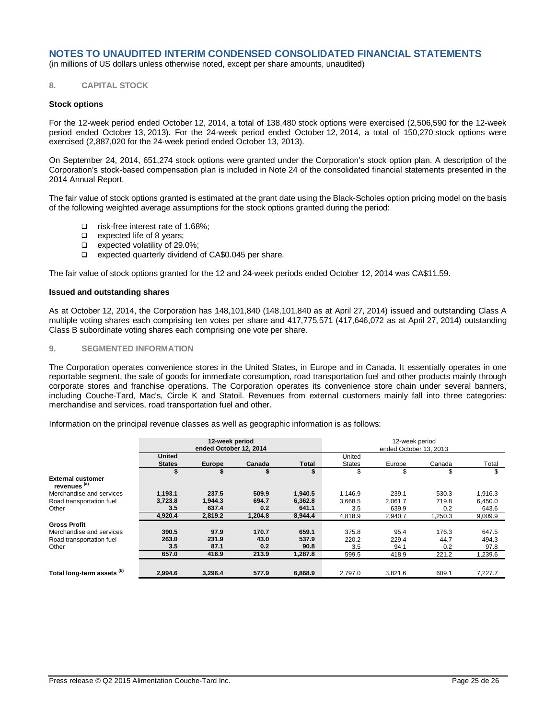(in millions of US dollars unless otherwise noted, except per share amounts, unaudited)

### **8. CAPITAL STOCK**

#### **Stock options**

For the 12-week period ended October 12, 2014, a total of 138,480 stock options were exercised (2,506,590 for the 12-week period ended October 13, 2013). For the 24-week period ended October 12, 2014, a total of 150,270 stock options were exercised (2,887,020 for the 24-week period ended October 13, 2013).

On September 24, 2014, 651,274 stock options were granted under the Corporation's stock option plan. A description of the Corporation's stock-based compensation plan is included in Note 24 of the consolidated financial statements presented in the 2014 Annual Report.

The fair value of stock options granted is estimated at the grant date using the Black-Scholes option pricing model on the basis of the following weighted average assumptions for the stock options granted during the period:

- □ risk-free interest rate of 1.68%;<br>□ expected life of 8 years:
- $\Box$  expected life of 8 years;<br> $\Box$  expected volatility of 29.
- $\Box$  expected volatility of 29.0%;
- expected quarterly dividend of CA\$0.045 per share.

The fair value of stock options granted for the 12 and 24-week periods ended October 12, 2014 was CA\$11.59.

### **Issued and outstanding shares**

As at October 12, 2014, the Corporation has 148,101,840 (148,101,840 as at April 27, 2014) issued and outstanding Class A multiple voting shares each comprising ten votes per share and 417,775,571 (417,646,072 as at April 27, 2014) outstanding Class B subordinate voting shares each comprising one vote per share.

#### **9. SEGMENTED INFORMATION**

The Corporation operates convenience stores in the United States, in Europe and in Canada. It essentially operates in one reportable segment, the sale of goods for immediate consumption, road transportation fuel and other products mainly through corporate stores and franchise operations. The Corporation operates its convenience store chain under several banners, including Couche-Tard, Mac's, Circle K and Statoil. Revenues from external customers mainly fall into three categories: merchandise and services, road transportation fuel and other.

Information on the principal revenue classes as well as geographic information is as follows:

|                                                     | 12-week period<br>ended October 12, 2014 |               |         |              | 12-week period<br>ended October 13, 2013 |         |         |         |
|-----------------------------------------------------|------------------------------------------|---------------|---------|--------------|------------------------------------------|---------|---------|---------|
|                                                     | <b>United</b>                            |               |         |              | United                                   |         |         |         |
|                                                     | <b>States</b>                            | <b>Europe</b> | Canada  | <b>Total</b> | <b>States</b>                            | Europe  | Canada  | Total   |
|                                                     |                                          |               |         |              | \$                                       | S       | S       |         |
| <b>External customer</b><br>revenues <sup>(a)</sup> |                                          |               |         |              |                                          |         |         |         |
| Merchandise and services                            | 1,193.1                                  | 237.5         | 509.9   | 1,940.5      | 1.146.9                                  | 239.1   | 530.3   | 1,916.3 |
| Road transportation fuel                            | 3,723.8                                  | 1,944.3       | 694.7   | 6,362.8      | 3,668.5                                  | 2,061.7 | 719.8   | 6,450.0 |
| Other                                               | 3.5                                      | 637.4         | 0.2     | 641.1        | 3.5                                      | 639.9   | 0.2     | 643.6   |
|                                                     | 4.920.4                                  | 2,819.2       | 1,204.8 | 8.944.4      | 4.818.9                                  | 2.940.7 | 1.250.3 | 9,009.9 |
| <b>Gross Profit</b>                                 |                                          |               |         |              |                                          |         |         |         |
| Merchandise and services                            | 390.5                                    | 97.9          | 170.7   | 659.1        | 375.8                                    | 95.4    | 176.3   | 647.5   |
| Road transportation fuel                            | 263.0                                    | 231.9         | 43.0    | 537.9        | 220.2                                    | 229.4   | 44.7    | 494.3   |
| Other                                               | 3.5                                      | 87.1          | 0.2     | 90.8         | 3.5                                      | 94.1    | 0.2     | 97.8    |
|                                                     | 657.0                                    | 416.9         | 213.9   | 1,287.8      | 599.5                                    | 418.9   | 221.2   | 1,239.6 |
|                                                     |                                          |               |         |              |                                          |         |         |         |
| Total long-term assets <sup>(b)</sup>               | 2,994.6                                  | 3,296.4       | 577.9   | 6,868.9      | 2,797.0                                  | 3,821.6 | 609.1   | 7,227.7 |